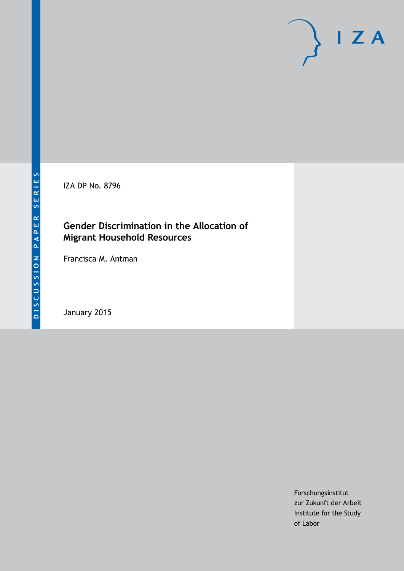IZA DP No. 8796

# **Gender Discrimination in the Allocation of Migrant Household Resources**

Francisca M. Antman

January 2015

Forschungsinstitut zur Zukunft der Arbeit Institute for the Study of Labor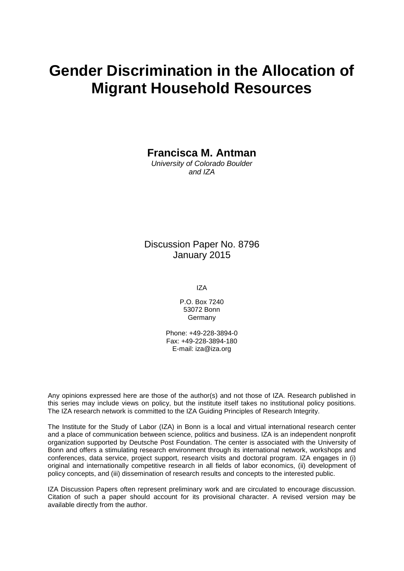# **Gender Discrimination in the Allocation of Migrant Household Resources**

**Francisca M. Antman**

*University of Colorado Boulder and IZA*

Discussion Paper No. 8796 January 2015

IZA

P.O. Box 7240 53072 Bonn Germany

Phone: +49-228-3894-0 Fax: +49-228-3894-180 E-mail: [iza@iza.org](mailto:iza@iza.org)

Any opinions expressed here are those of the author(s) and not those of IZA. Research published in this series may include views on policy, but the institute itself takes no institutional policy positions. The IZA research network is committed to the IZA Guiding Principles of Research Integrity.

The Institute for the Study of Labor (IZA) in Bonn is a local and virtual international research center and a place of communication between science, politics and business. IZA is an independent nonprofit organization supported by Deutsche Post Foundation. The center is associated with the University of Bonn and offers a stimulating research environment through its international network, workshops and conferences, data service, project support, research visits and doctoral program. IZA engages in (i) original and internationally competitive research in all fields of labor economics, (ii) development of policy concepts, and (iii) dissemination of research results and concepts to the interested public.

<span id="page-1-0"></span>IZA Discussion Papers often represent preliminary work and are circulated to encourage discussion. Citation of such a paper should account for its provisional character. A revised version may be available directly from the author.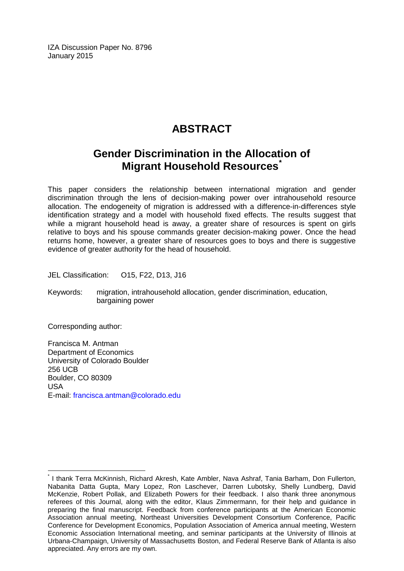IZA Discussion Paper No. 8796 January 2015

# **ABSTRACT**

# **Gender Discrimination in the Allocation of Migrant Household Resources[\\*](#page-1-0)**

This paper considers the relationship between international migration and gender discrimination through the lens of decision-making power over intrahousehold resource allocation. The endogeneity of migration is addressed with a difference-in-differences style identification strategy and a model with household fixed effects. The results suggest that while a migrant household head is away, a greater share of resources is spent on girls relative to boys and his spouse commands greater decision-making power. Once the head returns home, however, a greater share of resources goes to boys and there is suggestive evidence of greater authority for the head of household.

JEL Classification: O15, F22, D13, J16

Keywords: migration, intrahousehold allocation, gender discrimination, education, bargaining power

Corresponding author:

Francisca M. Antman Department of Economics University of Colorado Boulder 256 UCB Boulder, CO 80309 USA E-mail: [francisca.antman@colorado.edu](mailto:francisca.antman@colorado.edu)

I thank Terra McKinnish, Richard Akresh, Kate Ambler, Nava Ashraf, Tania Barham, Don Fullerton, Nabanita Datta Gupta, Mary Lopez, Ron Laschever, Darren Lubotsky, Shelly Lundberg, David McKenzie, Robert Pollak, and Elizabeth Powers for their feedback. I also thank three anonymous referees of this Journal, along with the editor, Klaus Zimmermann, for their help and guidance in preparing the final manuscript. Feedback from conference participants at the American Economic Association annual meeting, Northeast Universities Development Consortium Conference, Pacific Conference for Development Economics, Population Association of America annual meeting, Western Economic Association International meeting, and seminar participants at the University of Illinois at Urbana-Champaign, University of Massachusetts Boston, and Federal Reserve Bank of Atlanta is also appreciated. Any errors are my own.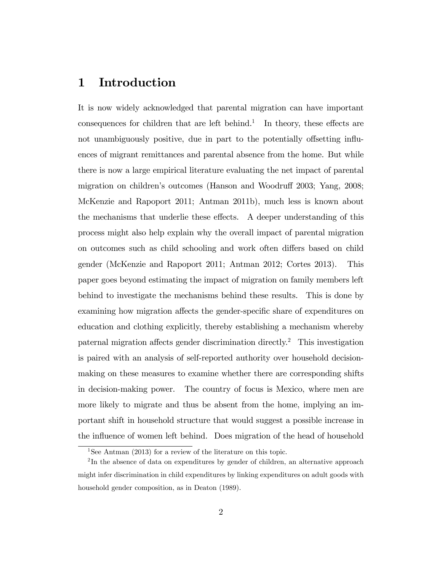# 1 Introduction

It is now widely acknowledged that parental migration can have important consequences for children that are left behind.<sup>1</sup> In theory, these effects are not unambiguously positive, due in part to the potentially offsetting influences of migrant remittances and parental absence from the home. But while there is now a large empirical literature evaluating the net impact of parental migration on children's outcomes (Hanson and Woodruff 2003; Yang, 2008; McKenzie and Rapoport 2011; Antman 2011b), much less is known about the mechanisms that underlie these effects. A deeper understanding of this process might also help explain why the overall impact of parental migration on outcomes such as child schooling and work often differs based on child gender (McKenzie and Rapoport 2011; Antman 2012; Cortes 2013). This paper goes beyond estimating the impact of migration on family members left behind to investigate the mechanisms behind these results. This is done by examining how migration affects the gender-specific share of expenditures on education and clothing explicitly, thereby establishing a mechanism whereby paternal migration affects gender discrimination directly.<sup>2</sup> This investigation is paired with an analysis of self-reported authority over household decisionmaking on these measures to examine whether there are corresponding shifts in decision-making power. The country of focus is Mexico, where men are more likely to migrate and thus be absent from the home, implying an important shift in household structure that would suggest a possible increase in the influence of women left behind. Does migration of the head of household

<sup>&</sup>lt;sup>1</sup>See Antman (2013) for a review of the literature on this topic.

<sup>&</sup>lt;sup>2</sup>In the absence of data on expenditures by gender of children, an alternative approach might infer discrimination in child expenditures by linking expenditures on adult goods with household gender composition, as in Deaton (1989).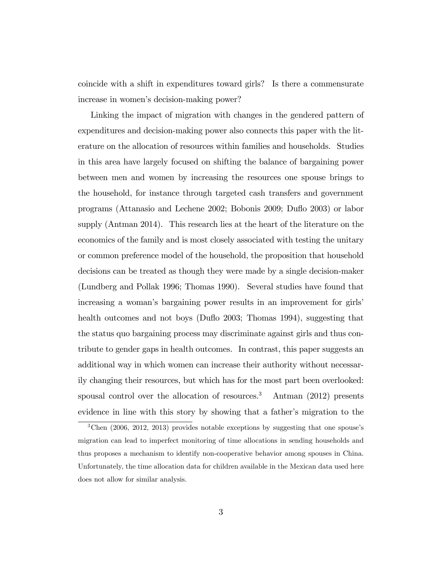coincide with a shift in expenditures toward girls? Is there a commensurate increase in women's decision-making power?

Linking the impact of migration with changes in the gendered pattern of expenditures and decision-making power also connects this paper with the literature on the allocation of resources within families and households. Studies in this area have largely focused on shifting the balance of bargaining power between men and women by increasing the resources one spouse brings to the household, for instance through targeted cash transfers and government programs (Attanasio and Lechene 2002; Bobonis 2009; Duáo 2003) or labor supply (Antman 2014). This research lies at the heart of the literature on the economics of the family and is most closely associated with testing the unitary or common preference model of the household, the proposition that household decisions can be treated as though they were made by a single decision-maker (Lundberg and Pollak 1996; Thomas 1990). Several studies have found that increasing a woman's bargaining power results in an improvement for girls' health outcomes and not boys (Duflo 2003; Thomas 1994), suggesting that the status quo bargaining process may discriminate against girls and thus contribute to gender gaps in health outcomes. In contrast, this paper suggests an additional way in which women can increase their authority without necessarily changing their resources, but which has for the most part been overlooked: spousal control over the allocation of resources.<sup>3</sup> Antman  $(2012)$  presents evidence in line with this story by showing that a father's migration to the

 $3$ Chen (2006, 2012, 2013) provides notable exceptions by suggesting that one spouse's migration can lead to imperfect monitoring of time allocations in sending households and thus proposes a mechanism to identify non-cooperative behavior among spouses in China. Unfortunately, the time allocation data for children available in the Mexican data used here does not allow for similar analysis.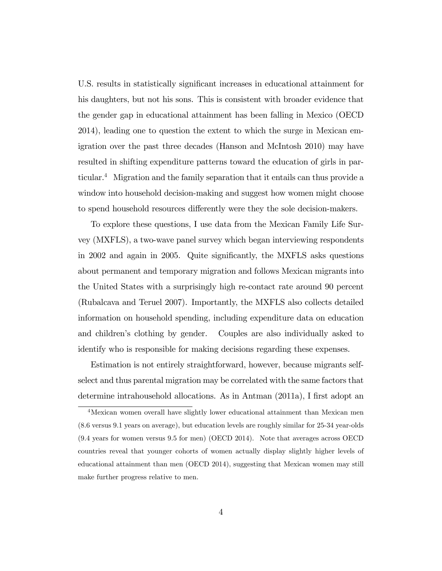U.S. results in statistically significant increases in educational attainment for his daughters, but not his sons. This is consistent with broader evidence that the gender gap in educational attainment has been falling in Mexico (OECD 2014), leading one to question the extent to which the surge in Mexican emigration over the past three decades (Hanson and McIntosh 2010) may have resulted in shifting expenditure patterns toward the education of girls in particular.<sup>4</sup> Migration and the family separation that it entails can thus provide a window into household decision-making and suggest how women might choose to spend household resources differently were they the sole decision-makers.

To explore these questions, I use data from the Mexican Family Life Survey (MXFLS), a two-wave panel survey which began interviewing respondents in 2002 and again in 2005. Quite significantly, the MXFLS asks questions about permanent and temporary migration and follows Mexican migrants into the United States with a surprisingly high re-contact rate around 90 percent (Rubalcava and Teruel 2007). Importantly, the MXFLS also collects detailed information on household spending, including expenditure data on education and children's clothing by gender. Couples are also individually asked to identify who is responsible for making decisions regarding these expenses.

Estimation is not entirely straightforward, however, because migrants selfselect and thus parental migration may be correlated with the same factors that determine intrahousehold allocations. As in Antman (2011a), I first adopt an

<sup>4</sup>Mexican women overall have slightly lower educational attainment than Mexican men (8.6 versus 9.1 years on average), but education levels are roughly similar for 25-34 year-olds (9.4 years for women versus 9.5 for men) (OECD 2014). Note that averages across OECD countries reveal that younger cohorts of women actually display slightly higher levels of educational attainment than men (OECD 2014), suggesting that Mexican women may still make further progress relative to men.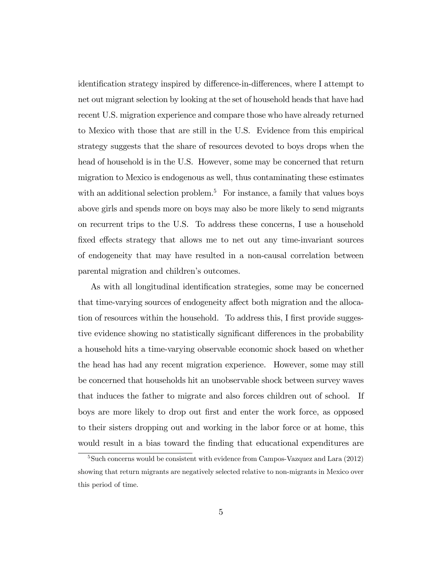identification strategy inspired by difference-in-differences, where I attempt to net out migrant selection by looking at the set of household heads that have had recent U.S. migration experience and compare those who have already returned to Mexico with those that are still in the U.S. Evidence from this empirical strategy suggests that the share of resources devoted to boys drops when the head of household is in the U.S. However, some may be concerned that return migration to Mexico is endogenous as well, thus contaminating these estimates with an additional selection problem.<sup>5</sup> For instance, a family that values boys above girls and spends more on boys may also be more likely to send migrants on recurrent trips to the U.S. To address these concerns, I use a household fixed effects strategy that allows me to net out any time-invariant sources of endogeneity that may have resulted in a non-causal correlation between parental migration and children's outcomes.

As with all longitudinal identification strategies, some may be concerned that time-varying sources of endogeneity affect both migration and the allocation of resources within the household. To address this, I first provide suggestive evidence showing no statistically significant differences in the probability a household hits a time-varying observable economic shock based on whether the head has had any recent migration experience. However, some may still be concerned that households hit an unobservable shock between survey waves that induces the father to migrate and also forces children out of school. If boys are more likely to drop out first and enter the work force, as opposed to their sisters dropping out and working in the labor force or at home, this would result in a bias toward the finding that educational expenditures are

<sup>&</sup>lt;sup>5</sup>Such concerns would be consistent with evidence from Campos-Vazquez and Lara (2012) showing that return migrants are negatively selected relative to non-migrants in Mexico over this period of time.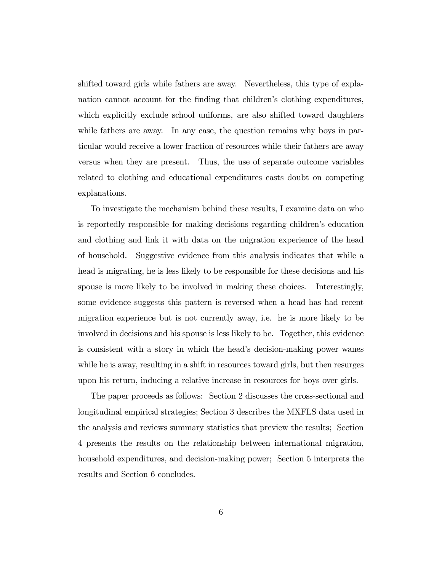shifted toward girls while fathers are away. Nevertheless, this type of explanation cannot account for the finding that children's clothing expenditures, which explicitly exclude school uniforms, are also shifted toward daughters while fathers are away. In any case, the question remains why boys in particular would receive a lower fraction of resources while their fathers are away versus when they are present. Thus, the use of separate outcome variables related to clothing and educational expenditures casts doubt on competing explanations.

To investigate the mechanism behind these results, I examine data on who is reportedly responsible for making decisions regarding children's education and clothing and link it with data on the migration experience of the head of household. Suggestive evidence from this analysis indicates that while a head is migrating, he is less likely to be responsible for these decisions and his spouse is more likely to be involved in making these choices. Interestingly, some evidence suggests this pattern is reversed when a head has had recent migration experience but is not currently away, i.e. he is more likely to be involved in decisions and his spouse is less likely to be. Together, this evidence is consistent with a story in which the head's decision-making power wanes while he is away, resulting in a shift in resources toward girls, but then resurges upon his return, inducing a relative increase in resources for boys over girls.

The paper proceeds as follows: Section 2 discusses the cross-sectional and longitudinal empirical strategies; Section 3 describes the MXFLS data used in the analysis and reviews summary statistics that preview the results; Section 4 presents the results on the relationship between international migration, household expenditures, and decision-making power; Section 5 interprets the results and Section 6 concludes.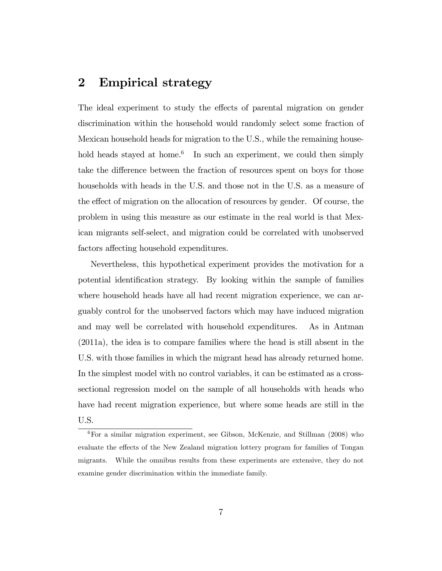# 2 Empirical strategy

The ideal experiment to study the effects of parental migration on gender discrimination within the household would randomly select some fraction of Mexican household heads for migration to the U.S., while the remaining household heads stayed at home.<sup>6</sup> In such an experiment, we could then simply take the difference between the fraction of resources spent on boys for those households with heads in the U.S. and those not in the U.S. as a measure of the effect of migration on the allocation of resources by gender. Of course, the problem in using this measure as our estimate in the real world is that Mexican migrants self-select, and migration could be correlated with unobserved factors affecting household expenditures.

Nevertheless, this hypothetical experiment provides the motivation for a potential identification strategy. By looking within the sample of families where household heads have all had recent migration experience, we can arguably control for the unobserved factors which may have induced migration and may well be correlated with household expenditures. As in Antman (2011a), the idea is to compare families where the head is still absent in the U.S. with those families in which the migrant head has already returned home. In the simplest model with no control variables, it can be estimated as a crosssectional regression model on the sample of all households with heads who have had recent migration experience, but where some heads are still in the U.S.

<sup>6</sup>For a similar migration experiment, see Gibson, McKenzie, and Stillman (2008) who evaluate the effects of the New Zealand migration lottery program for families of Tongan migrants. While the omnibus results from these experiments are extensive, they do not examine gender discrimination within the immediate family.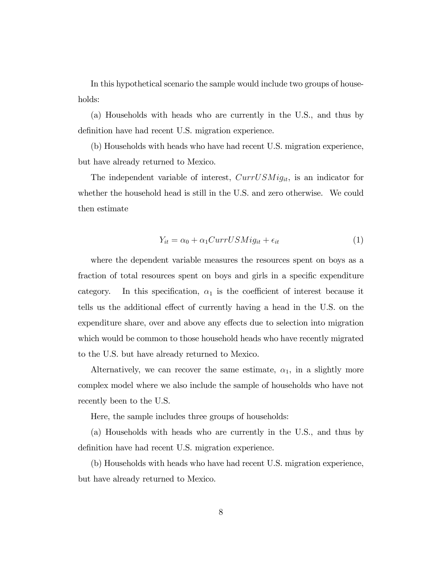In this hypothetical scenario the sample would include two groups of households:

(a) Households with heads who are currently in the U.S., and thus by definition have had recent U.S. migration experience.

(b) Households with heads who have had recent U.S. migration experience, but have already returned to Mexico.

The independent variable of interest,  $CurrUSMig_{it}$ , is an indicator for whether the household head is still in the U.S. and zero otherwise. We could then estimate

$$
Y_{it} = \alpha_0 + \alpha_1 CurrUSMig_{it} + \epsilon_{it} \tag{1}
$$

where the dependent variable measures the resources spent on boys as a fraction of total resources spent on boys and girls in a specific expenditure category. In this specification,  $\alpha_1$  is the coefficient of interest because it tells us the additional effect of currently having a head in the U.S. on the expenditure share, over and above any effects due to selection into migration which would be common to those household heads who have recently migrated to the U.S. but have already returned to Mexico.

Alternatively, we can recover the same estimate,  $\alpha_1$ , in a slightly more complex model where we also include the sample of households who have not recently been to the U.S.

Here, the sample includes three groups of households:

(a) Households with heads who are currently in the U.S., and thus by definition have had recent U.S. migration experience.

(b) Households with heads who have had recent U.S. migration experience, but have already returned to Mexico.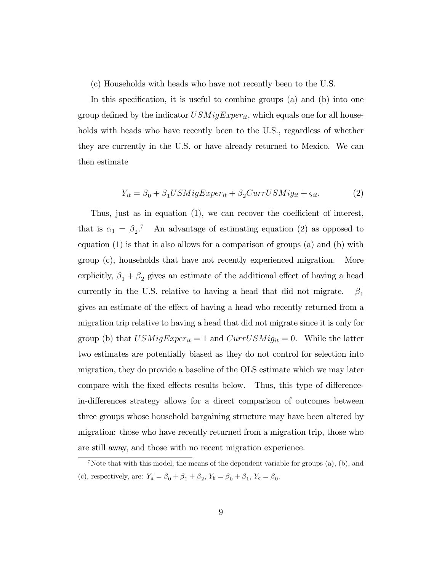(c) Households with heads who have not recently been to the U.S.

In this specification, it is useful to combine groups  $(a)$  and  $(b)$  into one group defined by the indicator  $USMigExperiment_{it}$ , which equals one for all households with heads who have recently been to the U.S., regardless of whether they are currently in the U.S. or have already returned to Mexico. We can then estimate

$$
Y_{it} = \beta_0 + \beta_1 USMigExperiment + \beta_2 CurrUSMig_{it} + \varsigma_{it}.
$$
 (2)

Thus, just as in equation  $(1)$ , we can recover the coefficient of interest, that is  $\alpha_1 = \beta_2$ <sup>7</sup> An advantage of estimating equation (2) as opposed to equation (1) is that it also allows for a comparison of groups (a) and (b) with group (c), households that have not recently experienced migration. More explicitly,  $\beta_1 + \beta_2$  gives an estimate of the additional effect of having a head currently in the U.S. relative to having a head that did not migrate.  $\beta_1$ gives an estimate of the effect of having a head who recently returned from a migration trip relative to having a head that did not migrate since it is only for group (b) that  $USMigExperiment = 1$  and  $CurrUSMig_{it} = 0$ . While the latter two estimates are potentially biased as they do not control for selection into migration, they do provide a baseline of the OLS estimate which we may later compare with the fixed effects results below. Thus, this type of differencein-differences strategy allows for a direct comparison of outcomes between three groups whose household bargaining structure may have been altered by migration: those who have recently returned from a migration trip, those who are still away, and those with no recent migration experience.

<sup>&</sup>lt;sup>7</sup>Note that with this model, the means of the dependent variable for groups  $(a)$ ,  $(b)$ , and (c), respectively, are:  $Y_a = \beta_0 + \beta_1 + \beta_2$ ,  $Y_b = \beta_0 + \beta_1$ ,  $Y_c = \beta_0$ .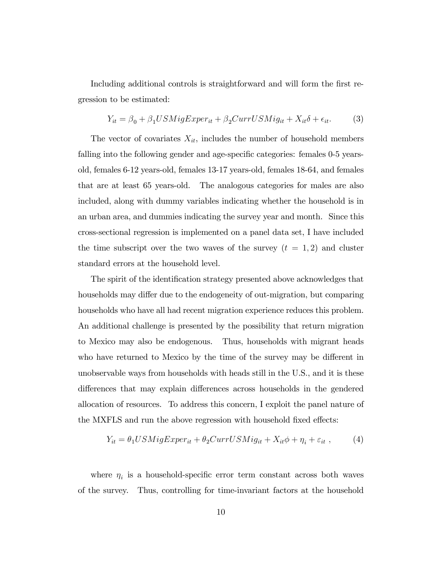Including additional controls is straightforward and will form the first regression to be estimated:

$$
Y_{it} = \beta_0 + \beta_1 USMigExperiment + \beta_2 CurrUSMig_{it} + X_{it}\delta + \epsilon_{it}.
$$
 (3)

The vector of covariates  $X_{it}$ , includes the number of household members falling into the following gender and age-specific categories: females 0-5 yearsold, females 6-12 years-old, females 13-17 years-old, females 18-64, and females that are at least 65 years-old. The analogous categories for males are also included, along with dummy variables indicating whether the household is in an urban area, and dummies indicating the survey year and month. Since this cross-sectional regression is implemented on a panel data set, I have included the time subscript over the two waves of the survey  $(t = 1, 2)$  and cluster standard errors at the household level.

The spirit of the identification strategy presented above acknowledges that households may differ due to the endogeneity of out-migration, but comparing households who have all had recent migration experience reduces this problem. An additional challenge is presented by the possibility that return migration to Mexico may also be endogenous. Thus, households with migrant heads who have returned to Mexico by the time of the survey may be different in unobservable ways from households with heads still in the U.S., and it is these differences that may explain differences across households in the gendered allocation of resources. To address this concern, I exploit the panel nature of the MXFLS and run the above regression with household fixed effects:

$$
Y_{it} = \theta_1 USMigExperiment + \theta_2 CurrUSMig_{it} + X_{it}\phi + \eta_i + \varepsilon_{it} , \qquad (4)
$$

where  $\eta_i$  is a household-specific error term constant across both waves of the survey. Thus, controlling for time-invariant factors at the household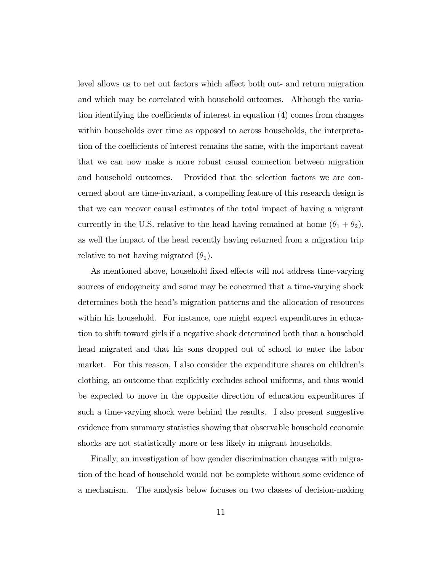level allows us to net out factors which affect both out- and return migration and which may be correlated with household outcomes. Although the variation identifying the coefficients of interest in equation  $(4)$  comes from changes within households over time as opposed to across households, the interpretation of the coefficients of interest remains the same, with the important caveat that we can now make a more robust causal connection between migration and household outcomes. Provided that the selection factors we are concerned about are time-invariant, a compelling feature of this research design is that we can recover causal estimates of the total impact of having a migrant currently in the U.S. relative to the head having remained at home  $(\theta_1 + \theta_2)$ , as well the impact of the head recently having returned from a migration trip relative to not having migrated  $(\theta_1)$ .

As mentioned above, household fixed effects will not address time-varying sources of endogeneity and some may be concerned that a time-varying shock determines both the head's migration patterns and the allocation of resources within his household. For instance, one might expect expenditures in education to shift toward girls if a negative shock determined both that a household head migrated and that his sons dropped out of school to enter the labor market. For this reason, I also consider the expenditure shares on children's clothing, an outcome that explicitly excludes school uniforms, and thus would be expected to move in the opposite direction of education expenditures if such a time-varying shock were behind the results. I also present suggestive evidence from summary statistics showing that observable household economic shocks are not statistically more or less likely in migrant households.

Finally, an investigation of how gender discrimination changes with migration of the head of household would not be complete without some evidence of a mechanism. The analysis below focuses on two classes of decision-making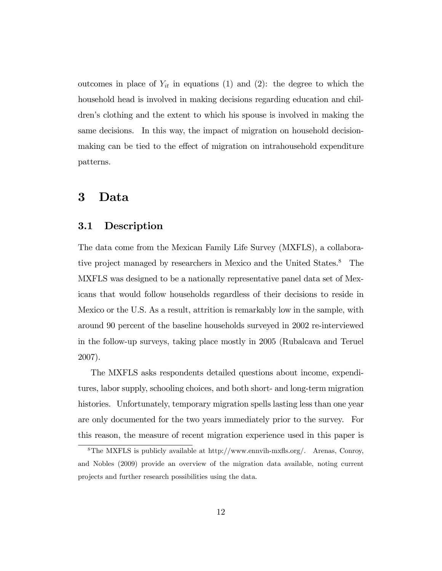outcomes in place of  $Y_{it}$  in equations (1) and (2): the degree to which the household head is involved in making decisions regarding education and children's clothing and the extent to which his spouse is involved in making the same decisions. In this way, the impact of migration on household decisionmaking can be tied to the effect of migration on intrahousehold expenditure patterns.

# 3 Data

### 3.1 Description

The data come from the Mexican Family Life Survey (MXFLS), a collaborative project managed by researchers in Mexico and the United States.<sup>8</sup> The MXFLS was designed to be a nationally representative panel data set of Mexicans that would follow households regardless of their decisions to reside in Mexico or the U.S. As a result, attrition is remarkably low in the sample, with around 90 percent of the baseline households surveyed in 2002 re-interviewed in the follow-up surveys, taking place mostly in 2005 (Rubalcava and Teruel 2007).

The MXFLS asks respondents detailed questions about income, expenditures, labor supply, schooling choices, and both short- and long-term migration histories. Unfortunately, temporary migration spells lasting less than one year are only documented for the two years immediately prior to the survey. For this reason, the measure of recent migration experience used in this paper is

<sup>&</sup>lt;sup>8</sup>The MXFLS is publicly available at http://www.ennvih-mxfls.org/. Arenas, Conroy, and Nobles (2009) provide an overview of the migration data available, noting current projects and further research possibilities using the data.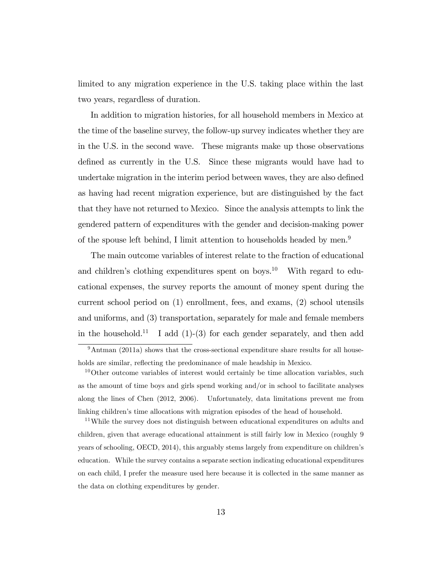limited to any migration experience in the U.S. taking place within the last two years, regardless of duration.

In addition to migration histories, for all household members in Mexico at the time of the baseline survey, the follow-up survey indicates whether they are in the U.S. in the second wave. These migrants make up those observations defined as currently in the U.S. Since these migrants would have had to undertake migration in the interim period between waves, they are also defined as having had recent migration experience, but are distinguished by the fact that they have not returned to Mexico. Since the analysis attempts to link the gendered pattern of expenditures with the gender and decision-making power of the spouse left behind, I limit attention to households headed by men.<sup>9</sup>

The main outcome variables of interest relate to the fraction of educational and children's clothing expenditures spent on boys.<sup>10</sup> With regard to educational expenses, the survey reports the amount of money spent during the current school period on (1) enrollment, fees, and exams, (2) school utensils and uniforms, and (3) transportation, separately for male and female members in the household.<sup>11</sup> I add  $(1)-(3)$  for each gender separately, and then add

 $9$ Antman (2011a) shows that the cross-sectional expenditure share results for all households are similar, reflecting the predominance of male headship in Mexico.

 $10$ Other outcome variables of interest would certainly be time allocation variables, such as the amount of time boys and girls spend working and/or in school to facilitate analyses along the lines of Chen (2012, 2006). Unfortunately, data limitations prevent me from linking children's time allocations with migration episodes of the head of household.

<sup>&</sup>lt;sup>11</sup>While the survey does not distinguish between educational expenditures on adults and children, given that average educational attainment is still fairly low in Mexico (roughly 9 years of schooling, OECD, 2014), this arguably stems largely from expenditure on children's education. While the survey contains a separate section indicating educational expenditures on each child, I prefer the measure used here because it is collected in the same manner as the data on clothing expenditures by gender.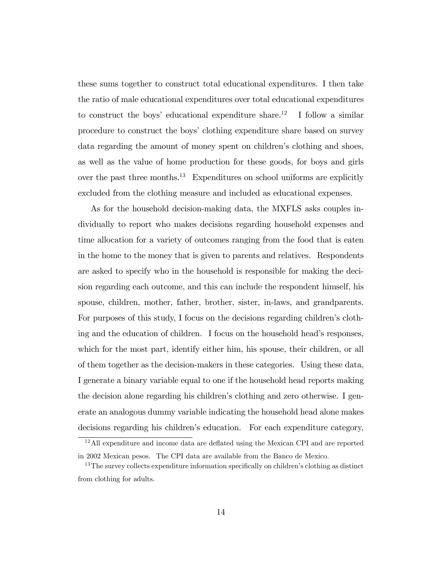these sums together to construct total educational expenditures. I then take the ratio of male educational expenditures over total educational expenditures to construct the boys' educational expenditure share.<sup>12</sup> I follow a similar procedure to construct the boys' clothing expenditure share based on survey data regarding the amount of money spent on children's clothing and shoes, as well as the value of home production for these goods, for boys and girls over the past three months.<sup>13</sup> Expenditures on school uniforms are explicitly excluded from the clothing measure and included as educational expenses.

As for the household decision-making data, the MXFLS asks couples individually to report who makes decisions regarding household expenses and time allocation for a variety of outcomes ranging from the food that is eaten in the home to the money that is given to parents and relatives. Respondents are asked to specify who in the household is responsible for making the decision regarding each outcome, and this can include the respondent himself, his spouse, children, mother, father, brother, sister, in-laws, and grandparents. For purposes of this study, I focus on the decisions regarding children's clothing and the education of children. I focus on the household head's responses, which for the most part, identify either him, his spouse, their children, or all of them together as the decision-makers in these categories. Using these data, I generate a binary variable equal to one if the household head reports making the decision alone regarding his children's clothing and zero otherwise. I generate an analogous dummy variable indicating the household head alone makes decisions regarding his children's education. For each expenditure category,

 $12$ All expenditure and income data are deflated using the Mexican CPI and are reported in 2002 Mexican pesos. The CPI data are available from the Banco de Mexico.

 $13$ The survey collects expenditure information specifically on children's clothing as distinct from clothing for adults.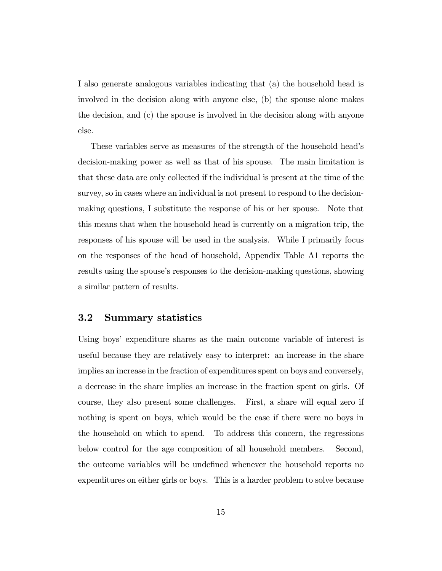I also generate analogous variables indicating that (a) the household head is involved in the decision along with anyone else, (b) the spouse alone makes the decision, and (c) the spouse is involved in the decision along with anyone else.

These variables serve as measures of the strength of the household headís decision-making power as well as that of his spouse. The main limitation is that these data are only collected if the individual is present at the time of the survey, so in cases where an individual is not present to respond to the decisionmaking questions, I substitute the response of his or her spouse. Note that this means that when the household head is currently on a migration trip, the responses of his spouse will be used in the analysis. While I primarily focus on the responses of the head of household, Appendix Table A1 reports the results using the spouse's responses to the decision-making questions, showing a similar pattern of results.

#### 3.2 Summary statistics

Using boys' expenditure shares as the main outcome variable of interest is useful because they are relatively easy to interpret: an increase in the share implies an increase in the fraction of expenditures spent on boys and conversely, a decrease in the share implies an increase in the fraction spent on girls. Of course, they also present some challenges. First, a share will equal zero if nothing is spent on boys, which would be the case if there were no boys in the household on which to spend. To address this concern, the regressions below control for the age composition of all household members. Second, the outcome variables will be undefined whenever the household reports no expenditures on either girls or boys. This is a harder problem to solve because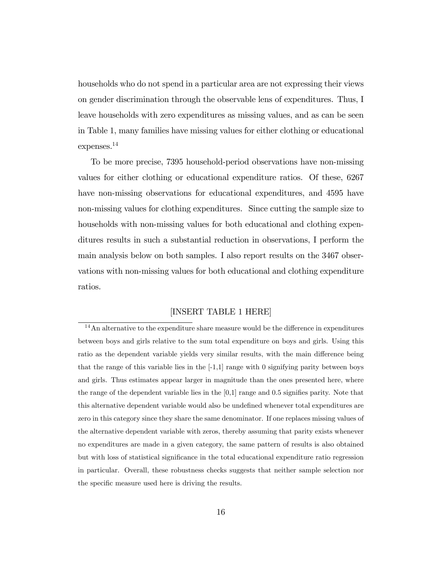households who do not spend in a particular area are not expressing their views on gender discrimination through the observable lens of expenditures. Thus, I leave households with zero expenditures as missing values, and as can be seen in Table 1, many families have missing values for either clothing or educational expenses.<sup>14</sup>

To be more precise, 7395 household-period observations have non-missing values for either clothing or educational expenditure ratios. Of these, 6267 have non-missing observations for educational expenditures, and 4595 have non-missing values for clothing expenditures. Since cutting the sample size to households with non-missing values for both educational and clothing expenditures results in such a substantial reduction in observations, I perform the main analysis below on both samples. I also report results on the 3467 observations with non-missing values for both educational and clothing expenditure ratios.

#### [INSERT TABLE 1 HERE]

 $14$ An alternative to the expenditure share measure would be the difference in expenditures between boys and girls relative to the sum total expenditure on boys and girls. Using this ratio as the dependent variable yields very similar results, with the main difference being that the range of this variable lies in the  $[-1,1]$  range with 0 signifying parity between boys and girls. Thus estimates appear larger in magnitude than the ones presented here, where the range of the dependent variable lies in the  $[0,1]$  range and 0.5 signifies parity. Note that this alternative dependent variable would also be undefined whenever total expenditures are zero in this category since they share the same denominator. If one replaces missing values of the alternative dependent variable with zeros, thereby assuming that parity exists whenever no expenditures are made in a given category, the same pattern of results is also obtained but with loss of statistical significance in the total educational expenditure ratio regression in particular. Overall, these robustness checks suggests that neither sample selection nor the specific measure used here is driving the results.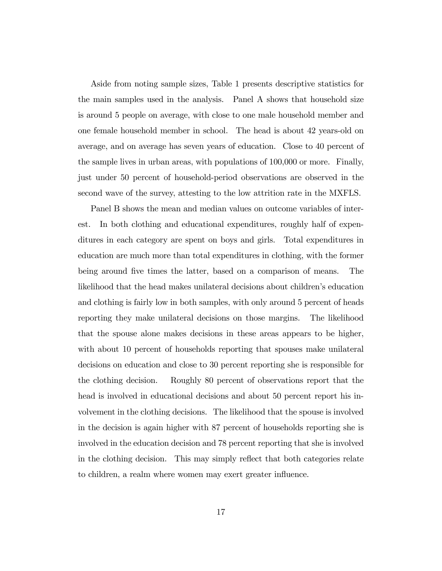Aside from noting sample sizes, Table 1 presents descriptive statistics for the main samples used in the analysis. Panel A shows that household size is around 5 people on average, with close to one male household member and one female household member in school. The head is about 42 years-old on average, and on average has seven years of education. Close to 40 percent of the sample lives in urban areas, with populations of 100,000 or more. Finally, just under 50 percent of household-period observations are observed in the second wave of the survey, attesting to the low attrition rate in the MXFLS.

Panel B shows the mean and median values on outcome variables of interest. In both clothing and educational expenditures, roughly half of expenditures in each category are spent on boys and girls. Total expenditures in education are much more than total expenditures in clothing, with the former being around five times the latter, based on a comparison of means. The likelihood that the head makes unilateral decisions about children's education and clothing is fairly low in both samples, with only around 5 percent of heads reporting they make unilateral decisions on those margins. The likelihood that the spouse alone makes decisions in these areas appears to be higher, with about 10 percent of households reporting that spouses make unilateral decisions on education and close to 30 percent reporting she is responsible for the clothing decision. Roughly 80 percent of observations report that the head is involved in educational decisions and about 50 percent report his involvement in the clothing decisions. The likelihood that the spouse is involved in the decision is again higher with 87 percent of households reporting she is involved in the education decision and 78 percent reporting that she is involved in the clothing decision. This may simply reflect that both categories relate to children, a realm where women may exert greater influence.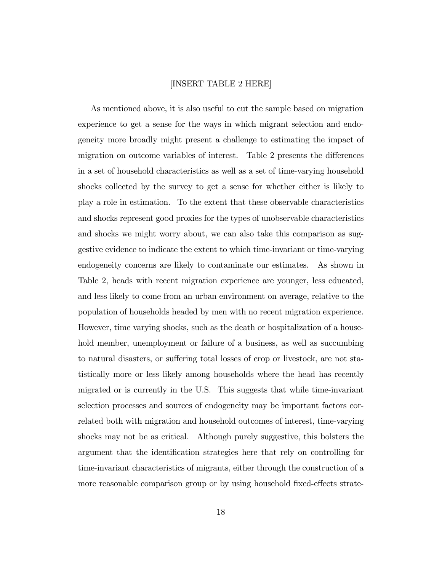#### [INSERT TABLE 2 HERE]

As mentioned above, it is also useful to cut the sample based on migration experience to get a sense for the ways in which migrant selection and endogeneity more broadly might present a challenge to estimating the impact of migration on outcome variables of interest. Table 2 presents the differences in a set of household characteristics as well as a set of time-varying household shocks collected by the survey to get a sense for whether either is likely to play a role in estimation. To the extent that these observable characteristics and shocks represent good proxies for the types of unobservable characteristics and shocks we might worry about, we can also take this comparison as suggestive evidence to indicate the extent to which time-invariant or time-varying endogeneity concerns are likely to contaminate our estimates. As shown in Table 2, heads with recent migration experience are younger, less educated, and less likely to come from an urban environment on average, relative to the population of households headed by men with no recent migration experience. However, time varying shocks, such as the death or hospitalization of a household member, unemployment or failure of a business, as well as succumbing to natural disasters, or suffering total losses of crop or livestock, are not statistically more or less likely among households where the head has recently migrated or is currently in the U.S. This suggests that while time-invariant selection processes and sources of endogeneity may be important factors correlated both with migration and household outcomes of interest, time-varying shocks may not be as critical. Although purely suggestive, this bolsters the argument that the identification strategies here that rely on controlling for time-invariant characteristics of migrants, either through the construction of a more reasonable comparison group or by using household fixed-effects strate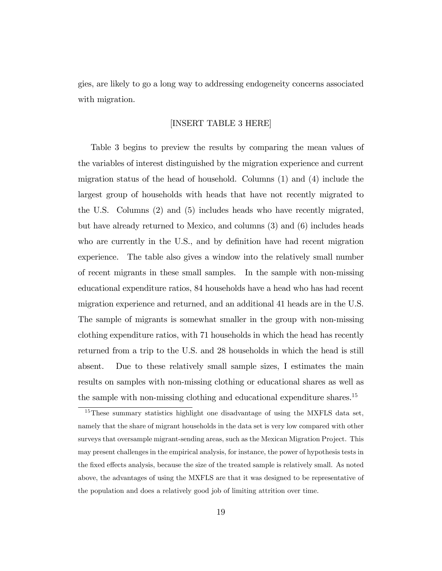gies, are likely to go a long way to addressing endogeneity concerns associated with migration.

#### [INSERT TABLE 3 HERE]

Table 3 begins to preview the results by comparing the mean values of the variables of interest distinguished by the migration experience and current migration status of the head of household. Columns  $(1)$  and  $(4)$  include the largest group of households with heads that have not recently migrated to the U.S. Columns (2) and (5) includes heads who have recently migrated, but have already returned to Mexico, and columns (3) and (6) includes heads who are currently in the U.S., and by definition have had recent migration experience. The table also gives a window into the relatively small number of recent migrants in these small samples. In the sample with non-missing educational expenditure ratios, 84 households have a head who has had recent migration experience and returned, and an additional 41 heads are in the U.S. The sample of migrants is somewhat smaller in the group with non-missing clothing expenditure ratios, with 71 households in which the head has recently returned from a trip to the U.S. and 28 households in which the head is still absent. Due to these relatively small sample sizes, I estimates the main results on samples with non-missing clothing or educational shares as well as the sample with non-missing clothing and educational expenditure shares.<sup>15</sup>

<sup>&</sup>lt;sup>15</sup>These summary statistics highlight one disadvantage of using the MXFLS data set, namely that the share of migrant households in the data set is very low compared with other surveys that oversample migrant-sending areas, such as the Mexican Migration Project. This may present challenges in the empirical analysis, for instance, the power of hypothesis tests in the fixed effects analysis, because the size of the treated sample is relatively small. As noted above, the advantages of using the MXFLS are that it was designed to be representative of the population and does a relatively good job of limiting attrition over time.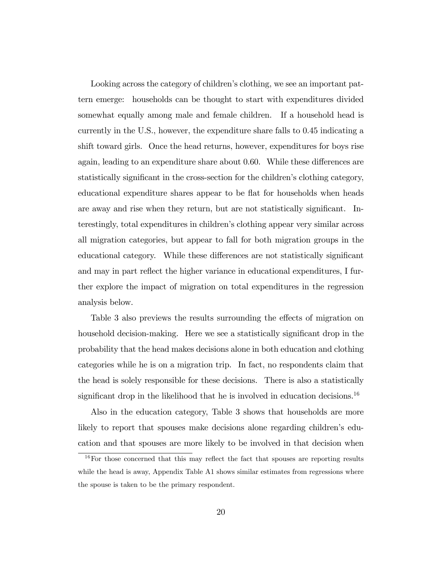Looking across the category of children's clothing, we see an important pattern emerge: households can be thought to start with expenditures divided somewhat equally among male and female children. If a household head is currently in the U.S., however, the expenditure share falls to 0.45 indicating a shift toward girls. Once the head returns, however, expenditures for boys rise again, leading to an expenditure share about 0.60. While these differences are statistically significant in the cross-section for the children's clothing category, educational expenditure shares appear to be flat for households when heads are away and rise when they return, but are not statistically significant. Interestingly, total expenditures in childrenís clothing appear very similar across all migration categories, but appear to fall for both migration groups in the educational category. While these differences are not statistically significant and may in part reflect the higher variance in educational expenditures, I further explore the impact of migration on total expenditures in the regression analysis below.

Table 3 also previews the results surrounding the effects of migration on household decision-making. Here we see a statistically significant drop in the probability that the head makes decisions alone in both education and clothing categories while he is on a migration trip. In fact, no respondents claim that the head is solely responsible for these decisions. There is also a statistically significant drop in the likelihood that he is involved in education decisions.<sup>16</sup>

Also in the education category, Table 3 shows that households are more likely to report that spouses make decisions alone regarding children's education and that spouses are more likely to be involved in that decision when

 $16$ For those concerned that this may reflect the fact that spouses are reporting results while the head is away, Appendix Table A1 shows similar estimates from regressions where the spouse is taken to be the primary respondent.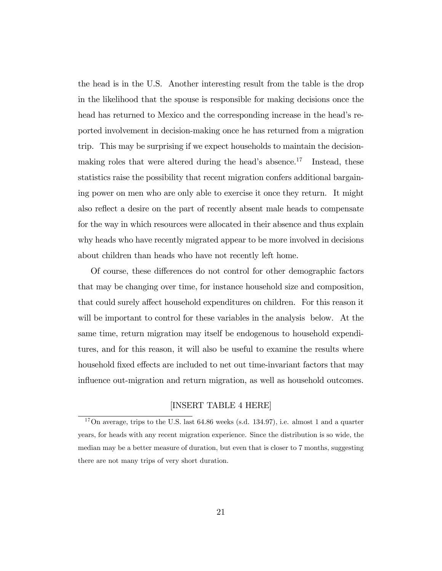the head is in the U.S. Another interesting result from the table is the drop in the likelihood that the spouse is responsible for making decisions once the head has returned to Mexico and the corresponding increase in the head's reported involvement in decision-making once he has returned from a migration trip. This may be surprising if we expect households to maintain the decisionmaking roles that were altered during the head's absence.<sup>17</sup> Instead, these statistics raise the possibility that recent migration confers additional bargaining power on men who are only able to exercise it once they return. It might also reflect a desire on the part of recently absent male heads to compensate for the way in which resources were allocated in their absence and thus explain why heads who have recently migrated appear to be more involved in decisions about children than heads who have not recently left home.

Of course, these differences do not control for other demographic factors that may be changing over time, for instance household size and composition, that could surely affect household expenditures on children. For this reason it will be important to control for these variables in the analysis below. At the same time, return migration may itself be endogenous to household expenditures, and for this reason, it will also be useful to examine the results where household fixed effects are included to net out time-invariant factors that may influence out-migration and return migration, as well as household outcomes.

### [INSERT TABLE 4 HERE]

 $17$ On average, trips to the U.S. last 64.86 weeks (s.d. 134.97), i.e. almost 1 and a quarter years, for heads with any recent migration experience. Since the distribution is so wide, the median may be a better measure of duration, but even that is closer to 7 months, suggesting there are not many trips of very short duration.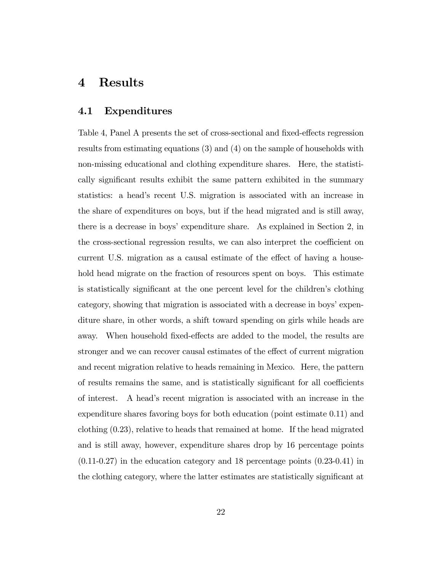# 4 Results

### 4.1 Expenditures

Table 4, Panel A presents the set of cross-sectional and fixed-effects regression results from estimating equations (3) and (4) on the sample of households with non-missing educational and clothing expenditure shares. Here, the statistically significant results exhibit the same pattern exhibited in the summary statistics: a head's recent U.S. migration is associated with an increase in the share of expenditures on boys, but if the head migrated and is still away, there is a decrease in boys' expenditure share. As explained in Section 2, in the cross-sectional regression results, we can also interpret the coefficient on current U.S. migration as a causal estimate of the effect of having a household head migrate on the fraction of resources spent on boys. This estimate is statistically significant at the one percent level for the children's clothing category, showing that migration is associated with a decrease in boys' expenditure share, in other words, a shift toward spending on girls while heads are away. When household fixed-effects are added to the model, the results are stronger and we can recover causal estimates of the effect of current migration and recent migration relative to heads remaining in Mexico. Here, the pattern of results remains the same, and is statistically significant for all coefficients of interest. A headís recent migration is associated with an increase in the expenditure shares favoring boys for both education (point estimate 0.11) and clothing (0.23), relative to heads that remained at home. If the head migrated and is still away, however, expenditure shares drop by 16 percentage points  $(0.11-0.27)$  in the education category and 18 percentage points  $(0.23-0.41)$  in the clothing category, where the latter estimates are statistically significant at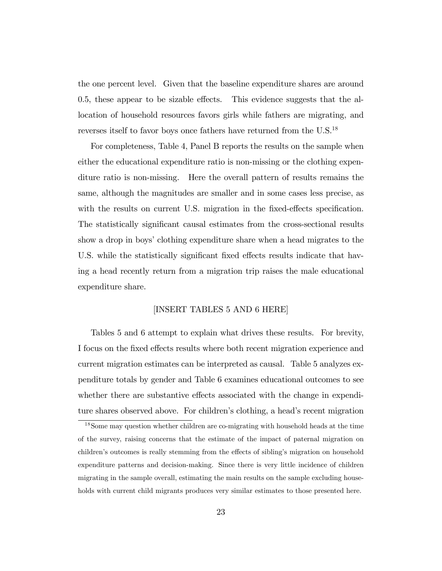the one percent level. Given that the baseline expenditure shares are around  $0.5$ , these appear to be sizable effects. This evidence suggests that the allocation of household resources favors girls while fathers are migrating, and reverses itself to favor boys once fathers have returned from the U.S.<sup>18</sup>

For completeness, Table 4, Panel B reports the results on the sample when either the educational expenditure ratio is non-missing or the clothing expenditure ratio is non-missing. Here the overall pattern of results remains the same, although the magnitudes are smaller and in some cases less precise, as with the results on current U.S. migration in the fixed-effects specification. The statistically significant causal estimates from the cross-sectional results show a drop in boys' clothing expenditure share when a head migrates to the U.S. while the statistically significant fixed effects results indicate that having a head recently return from a migration trip raises the male educational expenditure share.

#### [INSERT TABLES 5 AND 6 HERE]

Tables 5 and 6 attempt to explain what drives these results. For brevity, I focus on the fixed effects results where both recent migration experience and current migration estimates can be interpreted as causal. Table 5 analyzes expenditure totals by gender and Table 6 examines educational outcomes to see whether there are substantive effects associated with the change in expenditure shares observed above. For children's clothing, a head's recent migration

<sup>&</sup>lt;sup>18</sup>Some may question whether children are co-migrating with household heads at the time of the survey, raising concerns that the estimate of the impact of paternal migration on children's outcomes is really stemming from the effects of sibling's migration on household expenditure patterns and decision-making. Since there is very little incidence of children migrating in the sample overall, estimating the main results on the sample excluding households with current child migrants produces very similar estimates to those presented here.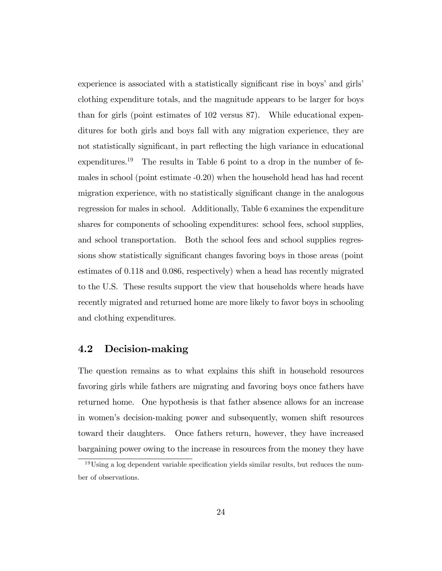experience is associated with a statistically significant rise in boys' and girls' clothing expenditure totals, and the magnitude appears to be larger for boys than for girls (point estimates of 102 versus 87). While educational expenditures for both girls and boys fall with any migration experience, they are not statistically significant, in part reflecting the high variance in educational expenditures.<sup>19</sup> The results in Table 6 point to a drop in the number of females in school (point estimate -0.20) when the household head has had recent migration experience, with no statistically significant change in the analogous regression for males in school. Additionally, Table 6 examines the expenditure shares for components of schooling expenditures: school fees, school supplies, and school transportation. Both the school fees and school supplies regressions show statistically significant changes favoring boys in those areas (point estimates of 0.118 and 0.086, respectively) when a head has recently migrated to the U.S. These results support the view that households where heads have recently migrated and returned home are more likely to favor boys in schooling and clothing expenditures.

### 4.2 Decision-making

The question remains as to what explains this shift in household resources favoring girls while fathers are migrating and favoring boys once fathers have returned home. One hypothesis is that father absence allows for an increase in womenís decision-making power and subsequently, women shift resources toward their daughters. Once fathers return, however, they have increased bargaining power owing to the increase in resources from the money they have

 $19U\sin g$  a log dependent variable specification yields similar results, but reduces the number of observations.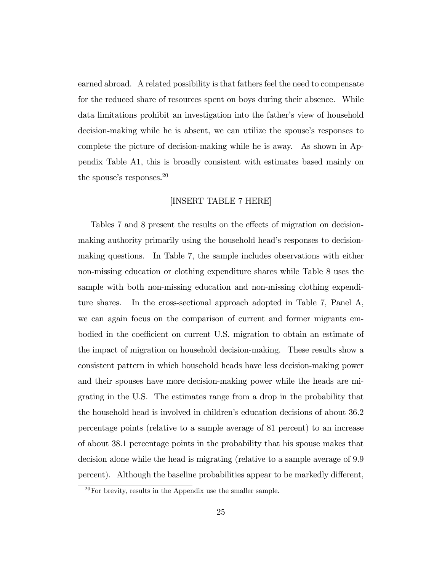earned abroad. A related possibility is that fathers feel the need to compensate for the reduced share of resources spent on boys during their absence. While data limitations prohibit an investigation into the father's view of household decision-making while he is absent, we can utilize the spouse's responses to complete the picture of decision-making while he is away. As shown in Appendix Table A1, this is broadly consistent with estimates based mainly on the spouse's responses. $^{20}$ 

#### [INSERT TABLE 7 HERE]

Tables 7 and 8 present the results on the effects of migration on decisionmaking authority primarily using the household head's responses to decisionmaking questions. In Table 7, the sample includes observations with either non-missing education or clothing expenditure shares while Table 8 uses the sample with both non-missing education and non-missing clothing expenditure shares. In the cross-sectional approach adopted in Table 7, Panel A, we can again focus on the comparison of current and former migrants embodied in the coefficient on current U.S. migration to obtain an estimate of the impact of migration on household decision-making. These results show a consistent pattern in which household heads have less decision-making power and their spouses have more decision-making power while the heads are migrating in the U.S. The estimates range from a drop in the probability that the household head is involved in children's education decisions of about 36.2 percentage points (relative to a sample average of 81 percent) to an increase of about 38.1 percentage points in the probability that his spouse makes that decision alone while the head is migrating (relative to a sample average of 9.9 percent). Although the baseline probabilities appear to be markedly different,

 $^{20}$ For brevity, results in the Appendix use the smaller sample.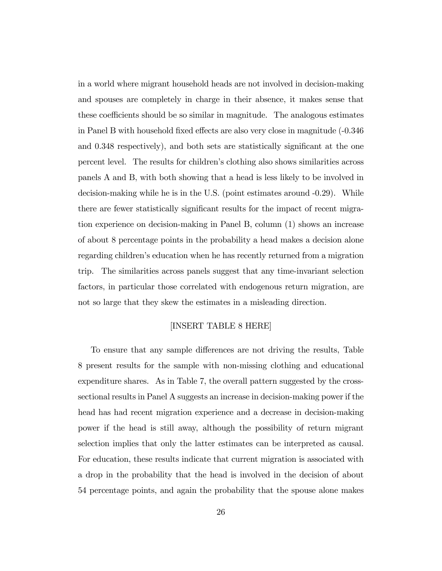in a world where migrant household heads are not involved in decision-making and spouses are completely in charge in their absence, it makes sense that these coefficients should be so similar in magnitude. The analogous estimates in Panel B with household fixed effects are also very close in magnitude (-0.346) and 0.348 respectively), and both sets are statistically significant at the one percent level. The results for children's clothing also shows similarities across panels A and B, with both showing that a head is less likely to be involved in decision-making while he is in the U.S. (point estimates around -0.29). While there are fewer statistically significant results for the impact of recent migration experience on decision-making in Panel B, column (1) shows an increase of about 8 percentage points in the probability a head makes a decision alone regarding children's education when he has recently returned from a migration trip. The similarities across panels suggest that any time-invariant selection factors, in particular those correlated with endogenous return migration, are not so large that they skew the estimates in a misleading direction.

#### [INSERT TABLE 8 HERE]

To ensure that any sample differences are not driving the results, Table 8 present results for the sample with non-missing clothing and educational expenditure shares. As in Table 7, the overall pattern suggested by the crosssectional results in Panel A suggests an increase in decision-making power if the head has had recent migration experience and a decrease in decision-making power if the head is still away, although the possibility of return migrant selection implies that only the latter estimates can be interpreted as causal. For education, these results indicate that current migration is associated with a drop in the probability that the head is involved in the decision of about 54 percentage points, and again the probability that the spouse alone makes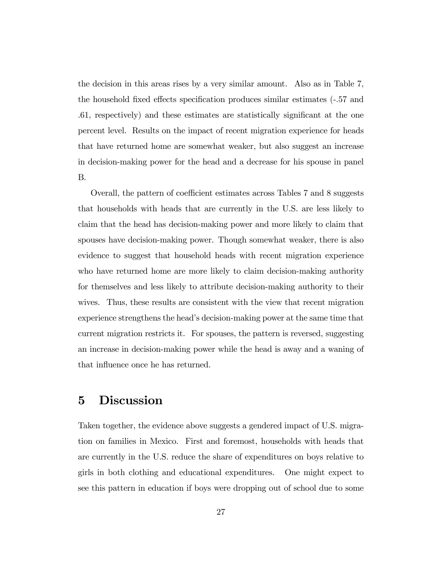the decision in this areas rises by a very similar amount. Also as in Table 7, the household fixed effects specification produces similar estimates (-.57 and .61, respectively) and these estimates are statistically significant at the one percent level. Results on the impact of recent migration experience for heads that have returned home are somewhat weaker, but also suggest an increase in decision-making power for the head and a decrease for his spouse in panel B.

Overall, the pattern of coefficient estimates across Tables 7 and 8 suggests that households with heads that are currently in the U.S. are less likely to claim that the head has decision-making power and more likely to claim that spouses have decision-making power. Though somewhat weaker, there is also evidence to suggest that household heads with recent migration experience who have returned home are more likely to claim decision-making authority for themselves and less likely to attribute decision-making authority to their wives. Thus, these results are consistent with the view that recent migration experience strengthens the head's decision-making power at the same time that current migration restricts it. For spouses, the pattern is reversed, suggesting an increase in decision-making power while the head is away and a waning of that influence once he has returned.

# 5 Discussion

Taken together, the evidence above suggests a gendered impact of U.S. migration on families in Mexico. First and foremost, households with heads that are currently in the U.S. reduce the share of expenditures on boys relative to girls in both clothing and educational expenditures. One might expect to see this pattern in education if boys were dropping out of school due to some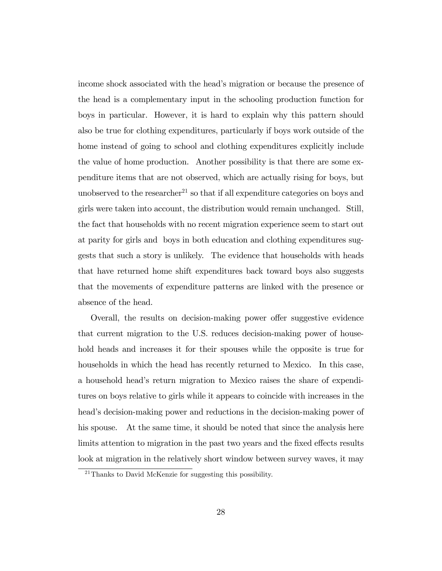income shock associated with the head's migration or because the presence of the head is a complementary input in the schooling production function for boys in particular. However, it is hard to explain why this pattern should also be true for clothing expenditures, particularly if boys work outside of the home instead of going to school and clothing expenditures explicitly include the value of home production. Another possibility is that there are some expenditure items that are not observed, which are actually rising for boys, but unobserved to the researcher<sup>21</sup> so that if all expenditure categories on boys and girls were taken into account, the distribution would remain unchanged. Still, the fact that households with no recent migration experience seem to start out at parity for girls and boys in both education and clothing expenditures suggests that such a story is unlikely. The evidence that households with heads that have returned home shift expenditures back toward boys also suggests that the movements of expenditure patterns are linked with the presence or absence of the head.

Overall, the results on decision-making power offer suggestive evidence that current migration to the U.S. reduces decision-making power of household heads and increases it for their spouses while the opposite is true for households in which the head has recently returned to Mexico. In this case, a household headís return migration to Mexico raises the share of expenditures on boys relative to girls while it appears to coincide with increases in the head's decision-making power and reductions in the decision-making power of his spouse. At the same time, it should be noted that since the analysis here limits attention to migration in the past two years and the fixed effects results look at migration in the relatively short window between survey waves, it may

<sup>21</sup>Thanks to David McKenzie for suggesting this possibility.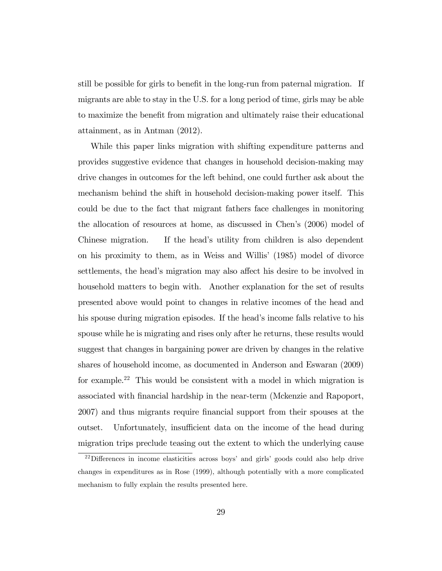still be possible for girls to benefit in the long-run from paternal migration. If migrants are able to stay in the U.S. for a long period of time, girls may be able to maximize the benefit from migration and ultimately raise their educational attainment, as in Antman (2012).

While this paper links migration with shifting expenditure patterns and provides suggestive evidence that changes in household decision-making may drive changes in outcomes for the left behind, one could further ask about the mechanism behind the shift in household decision-making power itself. This could be due to the fact that migrant fathers face challenges in monitoring the allocation of resources at home, as discussed in Chenís (2006) model of Chinese migration. If the head's utility from children is also dependent on his proximity to them, as in Weiss and Willis' (1985) model of divorce settlements, the head's migration may also affect his desire to be involved in household matters to begin with. Another explanation for the set of results presented above would point to changes in relative incomes of the head and his spouse during migration episodes. If the head's income falls relative to his spouse while he is migrating and rises only after he returns, these results would suggest that changes in bargaining power are driven by changes in the relative shares of household income, as documented in Anderson and Eswaran (2009) for example.<sup>22</sup> This would be consistent with a model in which migration is associated with Önancial hardship in the near-term (Mckenzie and Rapoport, 2007) and thus migrants require Önancial support from their spouses at the outset. Unfortunately, insufficient data on the income of the head during migration trips preclude teasing out the extent to which the underlying cause

 $^{22}$ Differences in income elasticities across boys' and girls' goods could also help drive changes in expenditures as in Rose (1999), although potentially with a more complicated mechanism to fully explain the results presented here.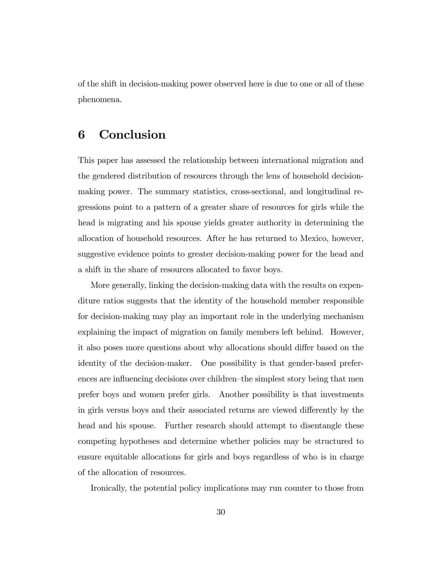of the shift in decision-making power observed here is due to one or all of these phenomena.

# 6 Conclusion

This paper has assessed the relationship between international migration and the gendered distribution of resources through the lens of household decisionmaking power. The summary statistics, cross-sectional, and longitudinal regressions point to a pattern of a greater share of resources for girls while the head is migrating and his spouse yields greater authority in determining the allocation of household resources. After he has returned to Mexico, however, suggestive evidence points to greater decision-making power for the head and a shift in the share of resources allocated to favor boys.

More generally, linking the decision-making data with the results on expenditure ratios suggests that the identity of the household member responsible for decision-making may play an important role in the underlying mechanism explaining the impact of migration on family members left behind. However, it also poses more questions about why allocations should differ based on the identity of the decision-maker. One possibility is that gender-based preferences are influencing decisions over children–the simplest story being that men prefer boys and women prefer girls. Another possibility is that investments in girls versus boys and their associated returns are viewed differently by the head and his spouse. Further research should attempt to disentangle these competing hypotheses and determine whether policies may be structured to ensure equitable allocations for girls and boys regardless of who is in charge of the allocation of resources.

Ironically, the potential policy implications may run counter to those from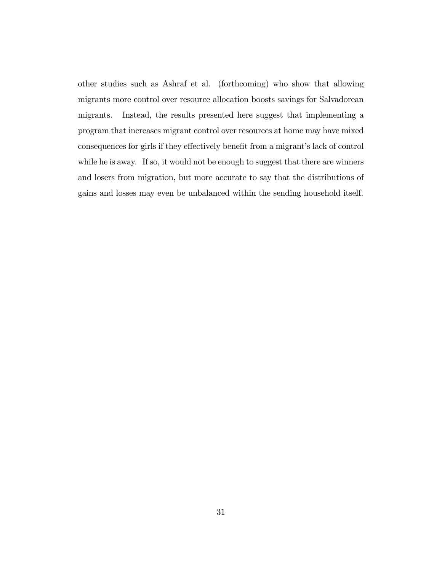other studies such as Ashraf et al. (forthcoming) who show that allowing migrants more control over resource allocation boosts savings for Salvadorean migrants. Instead, the results presented here suggest that implementing a program that increases migrant control over resources at home may have mixed consequences for girls if they effectively benefit from a migrant's lack of control while he is away. If so, it would not be enough to suggest that there are winners and losers from migration, but more accurate to say that the distributions of gains and losses may even be unbalanced within the sending household itself.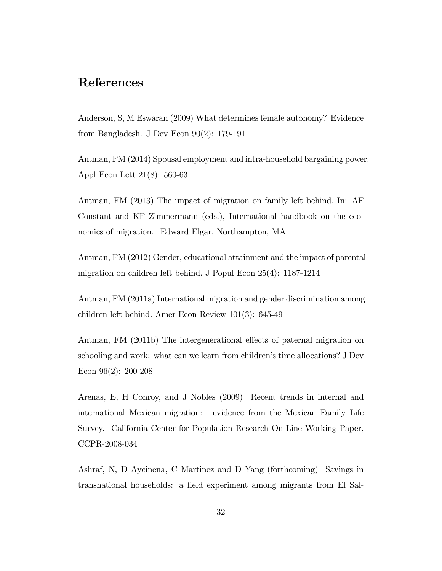# References

Anderson, S, M Eswaran (2009) What determines female autonomy? Evidence from Bangladesh. J Dev Econ 90(2): 179-191

Antman, FM (2014) Spousal employment and intra-household bargaining power. Appl Econ Lett 21(8): 560-63

Antman, FM (2013) The impact of migration on family left behind. In: AF Constant and KF Zimmermann (eds.), International handbook on the economics of migration. Edward Elgar, Northampton, MA

Antman, FM (2012) Gender, educational attainment and the impact of parental migration on children left behind. J Popul Econ 25(4): 1187-1214

Antman, FM (2011a) International migration and gender discrimination among children left behind. Amer Econ Review 101(3): 645-49

Antman, FM (2011b) The intergenerational effects of paternal migration on schooling and work: what can we learn from children's time allocations? J Dev Econ 96(2): 200-208

Arenas, E, H Conroy, and J Nobles (2009) Recent trends in internal and international Mexican migration: evidence from the Mexican Family Life Survey. California Center for Population Research On-Line Working Paper, CCPR-2008-034

Ashraf, N, D Aycinena, C Martinez and D Yang (forthcoming) Savings in transnational households: a field experiment among migrants from El Sal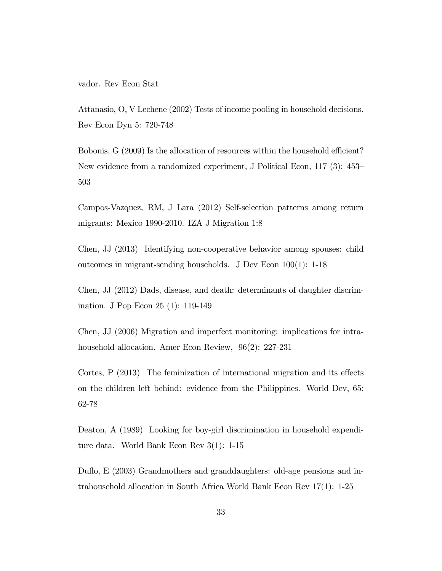vador. Rev Econ Stat

Attanasio, O, V Lechene (2002) Tests of income pooling in household decisions. Rev Econ Dyn 5: 720-748

Bobonis,  $G(2009)$  Is the allocation of resources within the household efficient? New evidence from a randomized experiment, J Political Econ,  $117$  (3):  $453-$ 503

Campos-Vazquez, RM, J Lara (2012) Self-selection patterns among return migrants: Mexico 1990-2010. IZA J Migration 1:8

Chen, JJ (2013) Identifying non-cooperative behavior among spouses: child outcomes in migrant-sending households. J Dev Econ 100(1): 1-18

Chen, JJ (2012) Dads, disease, and death: determinants of daughter discrimination. J Pop Econ 25 (1): 119-149

Chen, JJ (2006) Migration and imperfect monitoring: implications for intrahousehold allocation. Amer Econ Review, 96(2): 227-231

Cortes,  $P(2013)$  The feminization of international migration and its effects on the children left behind: evidence from the Philippines. World Dev, 65: 62-78

Deaton, A (1989) Looking for boy-girl discrimination in household expenditure data. World Bank Econ Rev 3(1): 1-15

Duáo, E (2003) Grandmothers and granddaughters: old-age pensions and intrahousehold allocation in South Africa World Bank Econ Rev 17(1): 1-25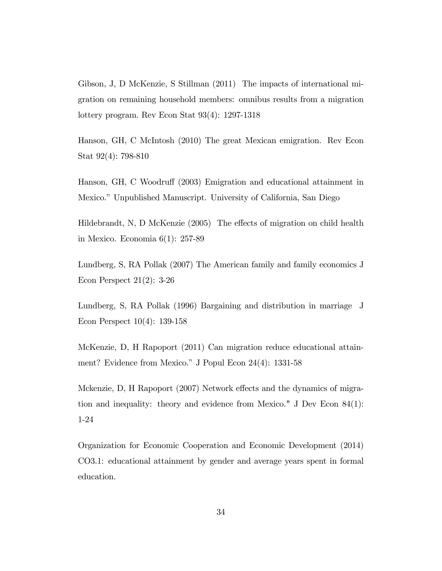Gibson, J, D McKenzie, S Stillman (2011) The impacts of international migration on remaining household members: omnibus results from a migration lottery program. Rev Econ Stat 93(4): 1297-1318

Hanson, GH, C McIntosh (2010) The great Mexican emigration. Rev Econ Stat 92(4): 798-810

Hanson, GH, C Woodruff (2003) Emigration and educational attainment in Mexico." Unpublished Manuscript. University of California, San Diego

Hildebrandt, N, D McKenzie  $(2005)$  The effects of migration on child health in Mexico. Economia 6(1): 257-89

Lundberg, S, RA Pollak (2007) The American family and family economics J Econ Perspect 21(2): 3-26

Lundberg, S, RA Pollak (1996) Bargaining and distribution in marriage J Econ Perspect 10(4): 139-158

McKenzie, D, H Rapoport (2011) Can migration reduce educational attainment? Evidence from Mexico." J Popul Econ  $24(4)$ : 1331-58

Mckenzie, D, H Rapoport (2007) Network effects and the dynamics of migration and inequality: theory and evidence from Mexico." J Dev Econ 84(1): 1-24

Organization for Economic Cooperation and Economic Development (2014) CO3.1: educational attainment by gender and average years spent in formal education.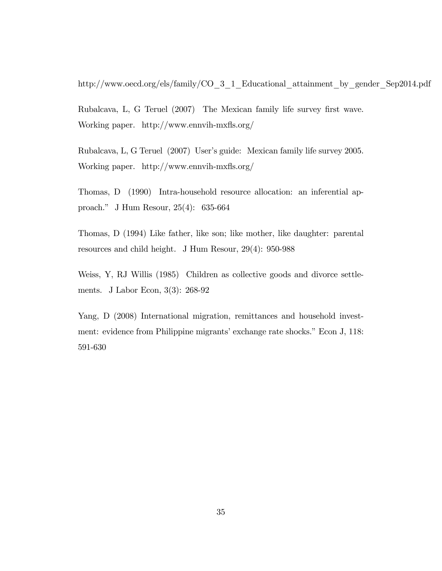http://www.oecd.org/els/family/CO\_3\_1\_Educational\_attainment\_by\_gender\_Sep2014.pdf

Rubalcava, L, G Teruel (2007) The Mexican family life survey first wave. Working paper. http://www.ennvih-mxfls.org/

Rubalcava, L, G Teruel (2007) User's guide: Mexican family life survey 2005. Working paper. http://www.ennvih-mxfls.org/

Thomas, D (1990) Intra-household resource allocation: an inferential approach.î J Hum Resour, 25(4): 635-664

Thomas, D (1994) Like father, like son; like mother, like daughter: parental resources and child height. J Hum Resour, 29(4): 950-988

Weiss, Y, RJ Willis (1985) Children as collective goods and divorce settlements. J Labor Econ, 3(3): 268-92

Yang, D (2008) International migration, remittances and household investment: evidence from Philippine migrants' exchange rate shocks." Econ J, 118: 591-630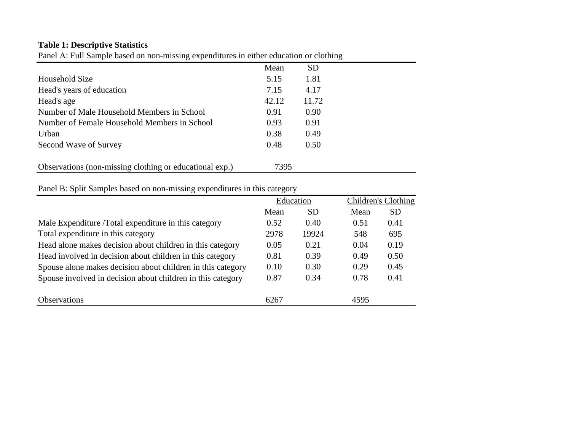### **Table 1: Descriptive Statistics**

Panel A: Full Sample based on non-missing expenditures in either education or clothing

|                                                         | Mean  | <b>SD</b> |
|---------------------------------------------------------|-------|-----------|
| Household Size                                          | 5.15  | 1.81      |
| Head's years of education                               | 7.15  | 4.17      |
| Head's age                                              | 42.12 | 11.72     |
| Number of Male Household Members in School              | 0.91  | 0.90      |
| Number of Female Household Members in School            | 0.93  | 0.91      |
| Urban                                                   | 0.38  | 0.49      |
| Second Wave of Survey                                   | 0.48  | 0.50      |
|                                                         |       |           |
| Observations (non-missing clothing or educational exp.) | 7395  |           |

 $\equiv$ 

### Panel B: Split Samples based on non-missing expenditures in this category

|                                                             |      | Education |      | Children's Clothing |
|-------------------------------------------------------------|------|-----------|------|---------------------|
|                                                             | Mean | SD        | Mean | <b>SD</b>           |
| Male Expenditure /Total expenditure in this category        | 0.52 | 0.40      | 0.51 | 0.41                |
| Total expenditure in this category                          | 2978 | 19924     | 548  | 695                 |
| Head alone makes decision about children in this category   | 0.05 | 0.21      | 0.04 | 0.19                |
| Head involved in decision about children in this category   | 0.81 | 0.39      | 0.49 | 0.50                |
| Spouse alone makes decision about children in this category | 0.10 | 0.30      | 0.29 | 0.45                |
| Spouse involved in decision about children in this category | 0.87 | 0.34      | 0.78 | 0.41                |
| <b>Observations</b>                                         | 6267 |           | 4595 |                     |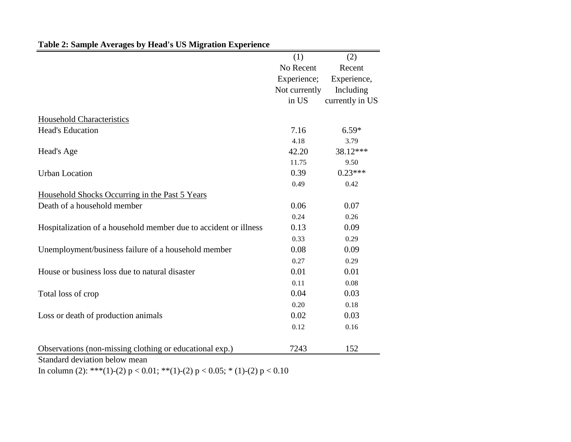|                                                                  | (1)           | (2)             |
|------------------------------------------------------------------|---------------|-----------------|
|                                                                  | No Recent     | Recent          |
|                                                                  | Experience;   | Experience,     |
|                                                                  | Not currently | Including       |
|                                                                  | in US         | currently in US |
| <b>Household Characteristics</b>                                 |               |                 |
| <b>Head's Education</b>                                          | 7.16          | $6.59*$         |
|                                                                  | 4.18          | 3.79            |
| Head's Age                                                       | 42.20         | 38.12***        |
|                                                                  | 11.75         | 9.50            |
| <b>Urban Location</b>                                            | 0.39          | $0.23***$       |
|                                                                  | 0.49          | 0.42            |
| Household Shocks Occurring in the Past 5 Years                   |               |                 |
| Death of a household member                                      | 0.06          | 0.07            |
|                                                                  | 0.24          | 0.26            |
| Hospitalization of a household member due to accident or illness | 0.13          | 0.09            |
|                                                                  | 0.33          | 0.29            |
| Unemployment/business failure of a household member              | 0.08          | 0.09            |
|                                                                  | 0.27          | 0.29            |
| House or business loss due to natural disaster                   | 0.01          | 0.01            |
|                                                                  | 0.11          | 0.08            |
| Total loss of crop                                               | 0.04          | 0.03            |
|                                                                  | 0.20          | 0.18            |
| Loss or death of production animals                              | 0.02          | 0.03            |
|                                                                  | 0.12          | 0.16            |
| Observations (non-missing clothing or educational exp.)          | 7243          | 152             |
| Standard deviation below mean                                    |               |                 |

# **Table 2: Sample Averages by Head's US Migration Experience**

In column (2): \*\*\*(1)-(2)  $p < 0.01$ ; \*\*(1)-(2)  $p < 0.05$ ; \* (1)-(2)  $p < 0.10$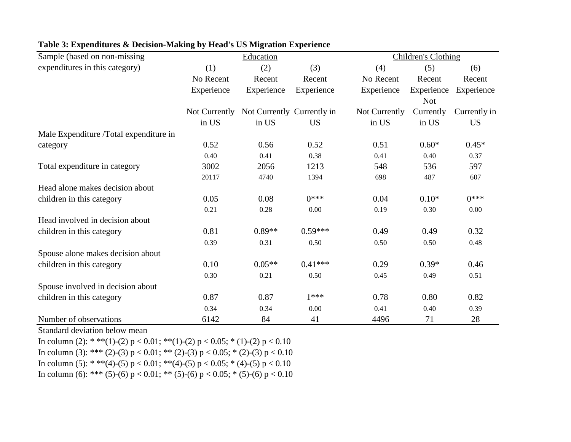| Sample (based on non-missing           |               | Education                  |            |               | <b>Children's Clothing</b> |              |
|----------------------------------------|---------------|----------------------------|------------|---------------|----------------------------|--------------|
| expenditures in this category)         | (1)           | (2)                        | (3)        | (4)           | (5)                        | (6)          |
|                                        | No Recent     | Recent                     | Recent     | No Recent     | Recent                     | Recent       |
|                                        | Experience    | Experience                 | Experience | Experience    | Experience<br><b>Not</b>   | Experience   |
|                                        | Not Currently | Not Currently Currently in |            | Not Currently | Currently                  | Currently in |
|                                        | in US         | in US                      | <b>US</b>  | in US         | in US                      | <b>US</b>    |
| Male Expenditure /Total expenditure in |               |                            |            |               |                            |              |
| category                               | 0.52          | 0.56                       | 0.52       | 0.51          | $0.60*$                    | $0.45*$      |
|                                        | 0.40          | 0.41                       | 0.38       | 0.41          | 0.40                       | 0.37         |
| Total expenditure in category          | 3002          | 2056                       | 1213       | 548           | 536                        | 597          |
|                                        | 20117         | 4740                       | 1394       | 698           | 487                        | 607          |
| Head alone makes decision about        |               |                            |            |               |                            |              |
| children in this category              | 0.05          | 0.08                       | $()***$    | 0.04          | $0.10*$                    | $0***$       |
|                                        | 0.21          | 0.28                       | 0.00       | 0.19          | 0.30                       | 0.00         |
| Head involved in decision about        |               |                            |            |               |                            |              |
| children in this category              | 0.81          | $0.89**$                   | $0.59***$  | 0.49          | 0.49                       | 0.32         |
|                                        | 0.39          | 0.31                       | 0.50       | 0.50          | 0.50                       | 0.48         |
| Spouse alone makes decision about      |               |                            |            |               |                            |              |
| children in this category              | 0.10          | $0.05**$                   | $0.41***$  | 0.29          | $0.39*$                    | 0.46         |
|                                        | 0.30          | 0.21                       | 0.50       | 0.45          | 0.49                       | 0.51         |
| Spouse involved in decision about      |               |                            |            |               |                            |              |
| children in this category              | 0.87          | 0.87                       | $1***$     | 0.78          | 0.80                       | 0.82         |
|                                        | 0.34          | 0.34                       | 0.00       | 0.41          | 0.40                       | 0.39         |
| Number of observations                 | 6142          | 84                         | 41         | 4496          | 71                         | 28           |

### **Table 3: Expenditures & Decision-Making by Head's US Migration Experience**

Standard deviation below mean

In column (2): \* \*\*(1)-(2)  $p < 0.01$ ; \*\*(1)-(2)  $p < 0.05$ ; \* (1)-(2)  $p < 0.10$ In column (3): \*\*\* (2)-(3) p < 0.01; \*\* (2)-(3) p < 0.05; \* (2)-(3) p < 0.10 In column (5): \* \*\*(4)-(5) p < 0.01; \*\*(4)-(5) p < 0.05; \* (4)-(5) p < 0.10 In column (6): \*\*\* (5)-(6)  $p < 0.01$ ; \*\* (5)-(6)  $p < 0.05$ ; \* (5)-(6)  $p < 0.10$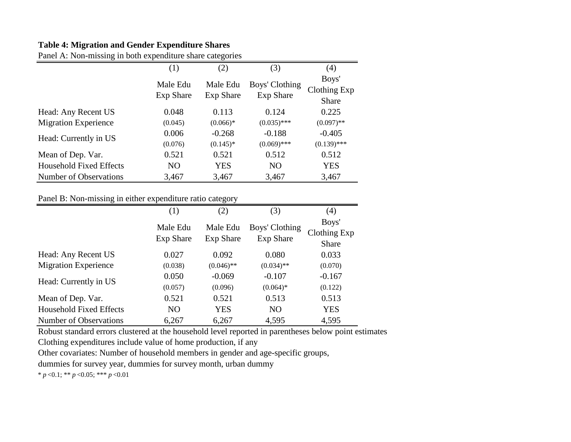### **Table 4: Migration and Gender Expenditure Shares**

Panel A: Non-missing in both expenditure share categories

|                                | (1)                          | (2)                          | (3)                         | (4)                                   |
|--------------------------------|------------------------------|------------------------------|-----------------------------|---------------------------------------|
|                                | Male Edu<br><b>Exp Share</b> | Male Edu<br><b>Exp Share</b> | Boys' Clothing<br>Exp Share | Boys'<br>Clothing Exp<br><b>Share</b> |
| Head: Any Recent US            | 0.048                        | 0.113                        | 0.124                       | 0.225                                 |
| <b>Migration Experience</b>    | (0.045)                      | $(0.066)*$                   | $(0.035)$ ***               | $(0.097)$ **                          |
| Head: Currently in US          | 0.006                        | $-0.268$                     | $-0.188$                    | $-0.405$                              |
|                                | (0.076)                      | $(0.145)^*$                  | $(0.069)$ ***               | $(0.139)$ ***                         |
| Mean of Dep. Var.              | 0.521                        | 0.521                        | 0.512                       | 0.512                                 |
| <b>Household Fixed Effects</b> | N <sub>O</sub>               | <b>YES</b>                   | N <sub>O</sub>              | <b>YES</b>                            |
| Number of Observations         | 3,467                        | 3,467                        | 3,467                       | 3,467                                 |

### Panel B: Non-missing in either expenditure ratio category

| っ                              |                              | 0 <sup>- -</sup> -           |                                    |                                |
|--------------------------------|------------------------------|------------------------------|------------------------------------|--------------------------------|
|                                | (1)                          | (2)                          | (3)                                | (4)                            |
|                                | Male Edu<br><b>Exp Share</b> | Male Edu<br><b>Exp Share</b> | Boys' Clothing<br><b>Exp Share</b> | Boys'<br>Clothing Exp<br>Share |
| Head: Any Recent US            | 0.027                        | 0.092                        | 0.080                              | 0.033                          |
| <b>Migration Experience</b>    | (0.038)                      | $(0.046)$ **                 | $(0.034)$ **                       | (0.070)                        |
| Head: Currently in US          | 0.050<br>(0.057)             | $-0.069$<br>(0.096)          | $-0.107$<br>$(0.064)*$             | $-0.167$<br>(0.122)            |
| Mean of Dep. Var.              | 0.521                        | 0.521                        | 0.513                              | 0.513                          |
| <b>Household Fixed Effects</b> | N <sub>O</sub>               | <b>YES</b>                   | N <sub>O</sub>                     | <b>YES</b>                     |
| Number of Observations         | 6,267                        | 6,267                        | 4,595                              | 4,595                          |

Robust standard errors clustered at the household level reported in parentheses below point estimates

Clothing expenditures include value of home production, if any

Other covariates: Number of household members in gender and age-specific groups,

dummies for survey year, dummies for survey month, urban dummy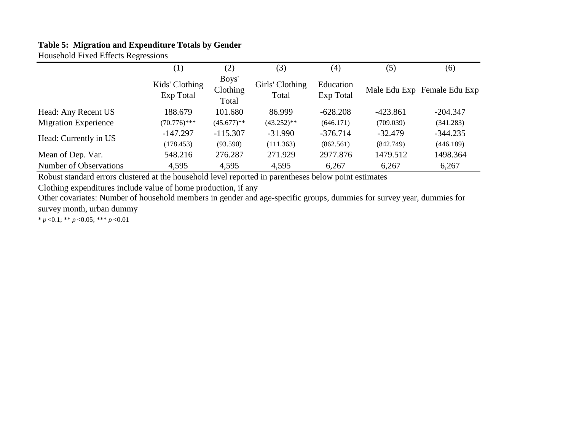### **Table 5: Migration and Expenditure Totals by Gender**

Household Fixed Effects Regressions

|                             | $\left(1\right)$            | (2)                        | (3)                      | (4)                    | (5)       | (6)                         |
|-----------------------------|-----------------------------|----------------------------|--------------------------|------------------------|-----------|-----------------------------|
|                             | Kids' Clothing<br>Exp Total | Boys'<br>Clothing<br>Total | Girls' Clothing<br>Total | Education<br>Exp Total |           | Male Edu Exp Female Edu Exp |
| Head: Any Recent US         | 188.679                     | 101.680                    | 86.999                   | $-628.208$             | -423.861  | $-204.347$                  |
| <b>Migration Experience</b> | $(70.776)$ ***              | $(45.677)$ **              | $(43.252)**$             | (646.171)              | (709.039) | (341.283)                   |
| Head: Currently in US       | $-147.297$                  | $-115.307$                 | $-31.990$                | $-376.714$             | $-32.479$ | $-344.235$                  |
|                             | (178.453)                   | (93.590)                   | (111.363)                | (862.561)              | (842.749) | (446.189)                   |
| Mean of Dep. Var.           | 548.216                     | 276.287                    | 271.929                  | 2977.876               | 1479.512  | 1498.364                    |
| Number of Observations      | 4,595                       | 4,595                      | 4,595                    | 6,267                  | 6,267     | 6,267                       |

Robust standard errors clustered at the household level reported in parentheses below point estimates

Clothing expenditures include value of home production, if any

Other covariates: Number of household members in gender and age-specific groups, dummies for survey year, dummies for survey month, urban dummy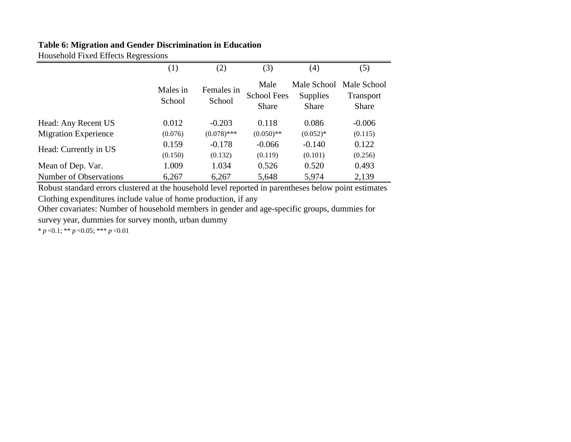### **Table 6: Migration and Gender Discrimination in Education**

Household Fixed Effects Regressions

|                             | (1)                | (2)                  | (3)                                        | (4)                                            | (5)                                      |
|-----------------------------|--------------------|----------------------|--------------------------------------------|------------------------------------------------|------------------------------------------|
|                             | Males in<br>School | Females in<br>School | Male<br><b>School Fees</b><br><b>Share</b> | Male School<br><b>Supplies</b><br><b>Share</b> | Male School<br><b>Transport</b><br>Share |
| Head: Any Recent US         | 0.012              | $-0.203$             | 0.118                                      | 0.086                                          | $-0.006$                                 |
| <b>Migration Experience</b> | (0.076)            | $(0.078)$ ***        | $(0.050)$ **                               | $(0.052)*$                                     | (0.115)                                  |
| Head: Currently in US       | 0.159              | $-0.178$             | $-0.066$                                   | $-0.140$                                       | 0.122                                    |
|                             | (0.150)            | (0.132)              | (0.119)                                    | (0.101)                                        | (0.256)                                  |
| Mean of Dep. Var.           | 1.009              | 1.034                | 0.526                                      | 0.520                                          | 0.493                                    |
| Number of Observations      | 6,267              | 6,267                | 5,648                                      | 5,974                                          | 2,139                                    |

Robust standard errors clustered at the household level reported in parentheses below point estimates Clothing expenditures include value of home production, if any

Other covariates: Number of household members in gender and age-specific groups, dummies for survey year, dummies for survey month, urban dummy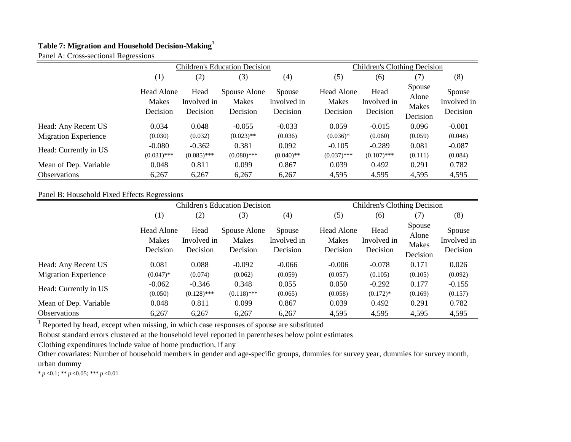### **Table 7: Migration and Household Decision-Making<sup>1</sup>**

Panel A: Cross-sectional Regressions

|                             | <b>Children's Education Decision</b>   |                                 |                                          |                                   |                                 | Children's Clothing Decision    |                                      |                                   |  |
|-----------------------------|----------------------------------------|---------------------------------|------------------------------------------|-----------------------------------|---------------------------------|---------------------------------|--------------------------------------|-----------------------------------|--|
|                             | (1)                                    | (2)                             | (3)                                      | $\left( 4\right)$                 | (5)                             | (6)                             | (7)                                  | (8)                               |  |
|                             | Head Alone<br><b>Makes</b><br>Decision | Head<br>Involved in<br>Decision | Spouse Alone<br><b>Makes</b><br>Decision | Spouse<br>Involved in<br>Decision | Head Alone<br>Makes<br>Decision | Head<br>Involved in<br>Decision | Spouse<br>Alone<br>Makes<br>Decision | Spouse<br>Involved in<br>Decision |  |
| Head: Any Recent US         | 0.034                                  | 0.048                           | $-0.055$                                 | $-0.033$                          | 0.059                           | $-0.015$                        | 0.096                                | $-0.001$                          |  |
| <b>Migration Experience</b> | (0.030)                                | (0.032)                         | $(0.023)$ **                             | (0.036)                           | $(0.036)*$                      | (0.060)                         | (0.059)                              | (0.048)                           |  |
| Head: Currently in US       | $-0.080$<br>$(0.031)$ ***              | $-0.362$<br>$(0.085)$ ***       | 0.381<br>$(0.080)$ ***                   | 0.092<br>$(0.040)$ **             | $-0.105$<br>$(0.037)$ ***       | $-0.289$<br>$(0.107)$ ***       | 0.081<br>(0.111)                     | $-0.087$<br>(0.084)               |  |
| Mean of Dep. Variable       | 0.048                                  | 0.811                           | 0.099                                    | 0.867                             | 0.039                           | 0.492                           | 0.291                                | 0.782                             |  |
| <b>Observations</b>         | 6,267                                  | 6,267                           | 6,267                                    | 6,267                             | 4,595                           | 4,595                           | 4,595                                | 4,595                             |  |

#### Panel B: Household Fixed Effects Regressions

|                             | <b>Children's Education Decision</b>          |                                 |                                          |                                   |                                        | <b>Children's Clothing Decision</b> |                                      |                                          |  |
|-----------------------------|-----------------------------------------------|---------------------------------|------------------------------------------|-----------------------------------|----------------------------------------|-------------------------------------|--------------------------------------|------------------------------------------|--|
|                             | (1)                                           | (2)<br>(3)<br>(4)               |                                          |                                   | (5)                                    | (6)                                 | (7)                                  | (8)                                      |  |
|                             | <b>Head Alone</b><br><b>Makes</b><br>Decision | Head<br>Involved in<br>Decision | Spouse Alone<br><b>Makes</b><br>Decision | Spouse<br>Involved in<br>Decision | Head Alone<br><b>Makes</b><br>Decision | Head<br>Involved in<br>Decision     | Spouse<br>Alone<br>Makes<br>Decision | <b>Spouse</b><br>Involved in<br>Decision |  |
| Head: Any Recent US         | 0.081                                         | 0.088                           | $-0.092$                                 | $-0.066$                          | $-0.006$                               | $-0.078$                            | 0.171                                | 0.026                                    |  |
| <b>Migration Experience</b> | $(0.047)^*$                                   | (0.074)                         | (0.062)                                  | (0.059)                           | (0.057)                                | (0.105)                             | (0.105)                              | (0.092)                                  |  |
| Head: Currently in US       | $-0.062$                                      | $-0.346$                        | 0.348                                    | 0.055                             | 0.050                                  | $-0.292$                            | 0.177                                | $-0.155$                                 |  |
|                             | (0.050)                                       | $(0.128)$ ***                   | $(0.118)$ ***                            | (0.065)                           | (0.058)                                | $(0.172)$ *                         | (0.169)                              | (0.157)                                  |  |
| Mean of Dep. Variable       | 0.048                                         | 0.811                           | 0.099                                    | 0.867                             | 0.039                                  | 0.492                               | 0.291                                | 0.782                                    |  |
| <b>Observations</b>         | 6,267                                         | 6,267                           | 6,267                                    | 6,267                             | 4,595                                  | 4,595                               | 4,595                                | 4,595                                    |  |

 $1$  Reported by head, except when missing, in which case responses of spouse are substituted

Robust standard errors clustered at the household level reported in parentheses below point estimates

Clothing expenditures include value of home production, if any

Other covariates: Number of household members in gender and age-specific groups, dummies for survey year, dummies for survey month, urban dummy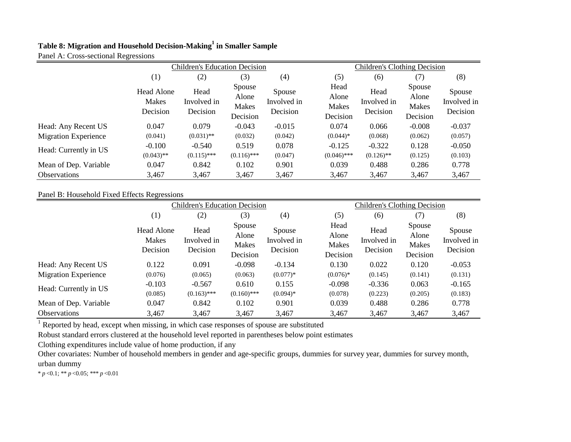#### **Table 8: Migration and Household Decision-Making<sup>1</sup> in Smaller Sample** Panel A: Cross-sectional Regressions

| $\cdots$ expose sectional   | $\cdots$<br><b>Children's Education Decision</b> |                                 |                                             |                                   |                                    | <b>Children's Clothing Decision</b> |                                      |                                   |  |
|-----------------------------|--------------------------------------------------|---------------------------------|---------------------------------------------|-----------------------------------|------------------------------------|-------------------------------------|--------------------------------------|-----------------------------------|--|
|                             | (1)                                              | (2)                             | (3)                                         | (4)                               | (5)                                | (6)                                 | (7)                                  | (8)                               |  |
|                             | <b>Head Alone</b><br>Makes<br>Decision           | Head<br>Involved in<br>Decision | Spouse<br>Alone<br><b>Makes</b><br>Decision | Spouse<br>Involved in<br>Decision | Head<br>Alone<br>Makes<br>Decision | Head<br>Involved in<br>Decision     | Spouse<br>Alone<br>Makes<br>Decision | Spouse<br>Involved in<br>Decision |  |
| Head: Any Recent US         | 0.047                                            | 0.079                           | $-0.043$                                    | $-0.015$                          | 0.074                              | 0.066                               | $-0.008$                             | $-0.037$                          |  |
| <b>Migration Experience</b> | (0.041)                                          | $(0.031)$ **                    | (0.032)                                     | (0.042)                           | $(0.044)$ *                        | (0.068)                             | (0.062)                              | (0.057)                           |  |
| Head: Currently in US       | $-0.100$<br>$(0.043)$ **                         | $-0.540$<br>$(0.115)$ ***       | 0.519<br>$(0.116)$ ***                      | 0.078<br>(0.047)                  | $-0.125$<br>$(0.046)$ ***          | $-0.322$<br>$(0.126)$ **            | 0.128<br>(0.125)                     | $-0.050$<br>(0.103)               |  |
| Mean of Dep. Variable       | 0.047                                            | 0.842                           | 0.102                                       | 0.901                             | 0.039                              | 0.488                               | 0.286                                | 0.778                             |  |
| <b>Observations</b>         | 3,467                                            | 3,467                           | 3,467                                       | 3,467                             | 3,467                              | 3,467                               | 3,467                                | 3,467                             |  |

#### Panel B: Household Fixed Effects Regressions

|                             | <b>Children's Education Decision</b> |                                 |                                      |                                   |                                    | <b>Children's Clothing Decision</b> |                                      |                                   |
|-----------------------------|--------------------------------------|---------------------------------|--------------------------------------|-----------------------------------|------------------------------------|-------------------------------------|--------------------------------------|-----------------------------------|
|                             | (1)                                  | (4)<br>(2)<br>(3)               |                                      |                                   |                                    | (6)                                 | (7)                                  | (8)                               |
|                             | Head Alone<br>Makes<br>Decision      | Head<br>Involved in<br>Decision | Spouse<br>Alone<br>Makes<br>Decision | Spouse<br>Involved in<br>Decision | Head<br>Alone<br>Makes<br>Decision | Head<br>Involved in<br>Decision     | Spouse<br>Alone<br>Makes<br>Decision | Spouse<br>Involved in<br>Decision |
| Head: Any Recent US         | 0.122                                | 0.091                           | $-0.098$                             | $-0.134$                          | 0.130                              | 0.022                               | 0.120                                | $-0.053$                          |
| <b>Migration Experience</b> | (0.076)                              | (0.065)                         | (0.063)                              | $(0.077)*$                        | $(0.076)^*$                        | (0.145)                             | (0.141)                              | (0.131)                           |
| Head: Currently in US       | $-0.103$                             | $-0.567$                        | 0.610                                | 0.155                             | $-0.098$                           | $-0.336$                            | 0.063                                | $-0.165$                          |
|                             | (0.085)                              | $(0.163)$ ***                   | $(0.160)$ ***                        | $(0.094)$ *                       | (0.078)                            | (0.223)                             | (0.205)                              | (0.183)                           |
| Mean of Dep. Variable       | 0.047                                | 0.842                           | 0.102                                | 0.901                             | 0.039                              | 0.488                               | 0.286                                | 0.778                             |
| <b>Observations</b>         | 3,467                                | 3,467                           | 3,467                                | 3,467                             | 3,467                              | 3,467                               | 3,467                                | 3,467                             |

 $1$  Reported by head, except when missing, in which case responses of spouse are substituted

Robust standard errors clustered at the household level reported in parentheses below point estimates

Clothing expenditures include value of home production, if any

Other covariates: Number of household members in gender and age-specific groups, dummies for survey year, dummies for survey month, urban dummy